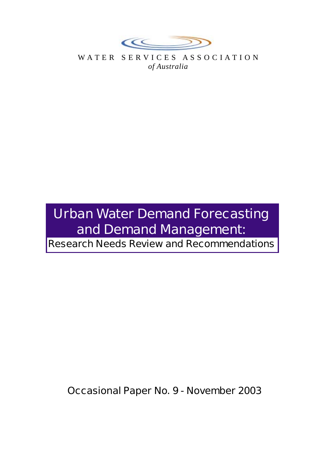

WATER SERVICES ASSOCIATION *of Australia*

# **Urban Water Demand Forecasting and Demand Management:**

**Research Needs Review and Recommendations**

**Occasional Paper No. 9 - November 2003**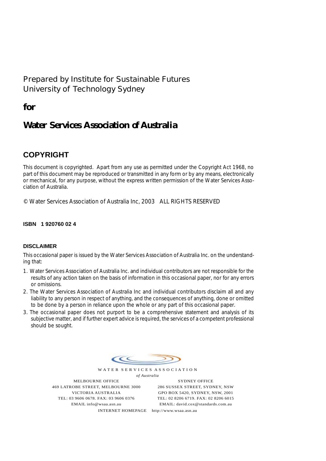## **Prepared by Institute for Sustainable Futures University of Technology Sydney**

**for**

# **Water Services Association** *of Australia*

## **COPYRIGHT**

This document is copyrighted. Apart from any use as permitted under the Copyright Act 1968, no part of this document may be reproduced or transmitted in any form or by any means, electronically or mechanical, for any purpose, without the express written permission of the Water Services Association of Australia.

© Water Services Association of Australia Inc, 2003 ALL RIGHTS RESERVED

#### **ISBN 1 920760 02 4**

#### **DISCLAIMER**

This occasional paper is issued by the Water Services Association of Australia Inc. on the understanding that:

- 1. Water Services Association of Australia Inc. and individual contributors are not responsible for the results of any action taken on the basis of information in this occasional paper, nor for any errors or omissions.
- 2. The Water Services Association of Australia Inc and individual contributors disclaim all and any liability to any person in respect of anything, and the consequences of anything, done or omitted to be done by a person in reliance upon the whole or any part of this occasional paper.
- 3. The occasional paper does not purport to be a comprehensive statement and analysis of its subjective matter, and if further expert advice is required, the services of a competent professional should be sought.

 $\epsilon$ 

WATER SERVICES ASSOCIATION *of Australia*

MELBOURNE OFFICE 469 LATROBE STREET, MELBOURNE 3000 VICTORIA AUSTRALIA TEL: 03 9606 0678. FAX: 03 9606 0376 EMAIL info@wsaa.asn.au

SYDNEY OFFICE 286 SUSSEX STREET, SYDNEY, NSW GPO BOX 5420, SYDNEY, NSW, 2001 TEL: 02 8206 6719. FAX: 02 8206 6015 EMAIL: david.cox@standards.com.au

INTERNET HOMEPAGE http://www.wsaa.asn.au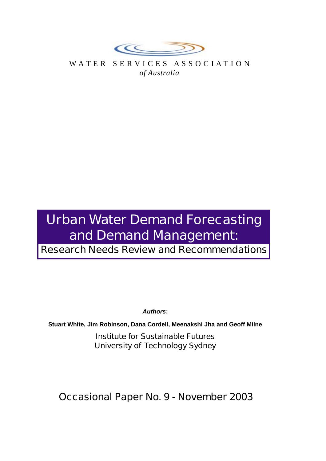

WATER SERVICES ASSOCIATION *of Australia*

# **Urban Water Demand Forecasting and Demand Management:**

**Research Needs Review and Recommendations**

*Authors***:**

**Stuart White, Jim Robinson, Dana Cordell, Meenakshi Jha and Geoff Milne**

**Institute for Sustainable Futures University of Technology Sydney**

**Occasional Paper No. 9 - November 2003**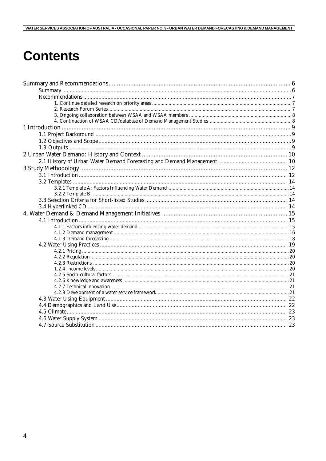# **Contents**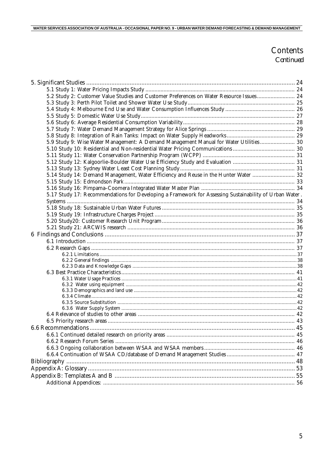### Contents Continued

| 5.2 Study 2: Customer Value Studies and Customer Preferences on Water Resource Issues 24               |  |
|--------------------------------------------------------------------------------------------------------|--|
|                                                                                                        |  |
|                                                                                                        |  |
|                                                                                                        |  |
|                                                                                                        |  |
|                                                                                                        |  |
|                                                                                                        |  |
| 5.9 Study 9: Wise Water Management: A Demand Management Manual for Water Utilities 30                  |  |
|                                                                                                        |  |
|                                                                                                        |  |
|                                                                                                        |  |
|                                                                                                        |  |
| 5.14 Study 14: Demand Management, Water Efficiency and Reuse in the Hunter Water  32                   |  |
|                                                                                                        |  |
|                                                                                                        |  |
| 5.17 Study 17: Recommendations for Developing a Framework for Assessing Sustainability of Urban Water. |  |
|                                                                                                        |  |
|                                                                                                        |  |
|                                                                                                        |  |
|                                                                                                        |  |
|                                                                                                        |  |
|                                                                                                        |  |
|                                                                                                        |  |
|                                                                                                        |  |
|                                                                                                        |  |
|                                                                                                        |  |
|                                                                                                        |  |
|                                                                                                        |  |
|                                                                                                        |  |
|                                                                                                        |  |
|                                                                                                        |  |
|                                                                                                        |  |
|                                                                                                        |  |
|                                                                                                        |  |
|                                                                                                        |  |
|                                                                                                        |  |
|                                                                                                        |  |
|                                                                                                        |  |
|                                                                                                        |  |
|                                                                                                        |  |
|                                                                                                        |  |
|                                                                                                        |  |
|                                                                                                        |  |
|                                                                                                        |  |
|                                                                                                        |  |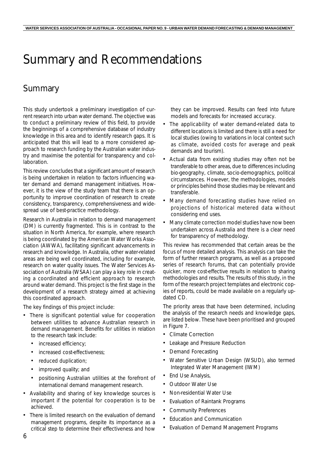# Summary and Recommendations

# Summary

This study undertook a preliminary investigation of current research into urban water demand. The objective was to conduct a preliminary review of this field, to provide the beginnings of a comprehensive database of industry knowledge in this area and to identify research gaps. It is anticipated that this will lead to a more considered approach to research funding by the Australian water industry and maximise the potential for transparency and collaboration.

This review concludes that a significant amount of research is being undertaken in relation to factors influencing water demand and demand management initiatives. However, it is the view of the study team that there is an opportunity to improve coordination of research to create consistency, transparency, comprehensiveness and widespread use of best-practice methodology.

Research in Australia in relation to demand management (DM) is currently fragmented. This is in contrast to the situation in North America, for example, where research is being coordinated by the American Water Works Association (AWWA), facilitating significant advancements in research and knowledge. In Australia, other water-related areas are being well coordinated, including for example, research on water quality issues. The Water Services Association of Australia (WSAA) can play a key role in creating a coordinated and efficient approach to research around water demand. This project is the first stage in the development of a research strategy aimed at achieving this coordinated approach.

The key findings of this project include:

- There is significant potential value for cooperation between utilities to advance Australian research in demand management. Benefits for utilities in relation to the research task include:
	- increased efficiency;
	- increased cost-effectiveness;
	- reduced duplication;
	- improved quality; and
	- positioning Australian utilities at the forefront of international demand management research.
- Availability and sharing of key knowledge sources is important if the potential for cooperation is to be achieved.
- There is limited research on the evaluation of demand management programs, despite its importance as a critical step to determine their effectiveness and how

they can be improved. Results can feed into future models and forecasts for increased accuracy.

- The applicability of water demand-related data to different locations is limited and there is still a need for local studies (owing to variations in local context such as climate, avoided costs for average and peak demands and tourism).
- Actual data from existing studies may often not be transferable to other areas, due to differences including bio-geography, climate, socio-demographics, political circumstances. However, the methodologies, models or principles behind those studies may be relevant and transferable.
- Many demand forecasting studies have relied on projections of historical metered data without considering end uses.
- Many climate correction model studies have now been undertaken across Australia and there is a clear need for transparency of methodology.

This review has recommended that certain areas be the focus of more detailed analysis. This analysis can take the form of further research programs, as well as a proposed series of research forums, that can potentially provide quicker, more cost-effective results in relation to sharing methodologies and results. The results of this study, in the form of the research project templates and electronic copies of reports, could be made available on a regularly updated CD.

The priority areas that have been determined, including the analysis of the research needs and knowledge gaps, are listed below. These have been prioritised and grouped in Figure 7.

- Climate Correction
- Leakage and Pressure Reduction
- Demand Forecasting
- Water Sensitive Urban Design (WSUD), also termed Integrated Water Management (IWM)
- End Use Analysis,
- Outdoor Water Use
- Non-residential Water Use
- Evaluation of Raintank Programs
- Community Preferences
- Education and Communication
- Evaluation of Demand Management Programs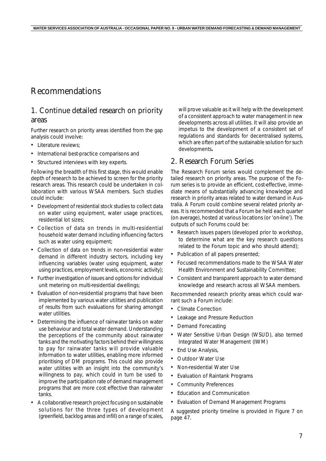# Recommendations

#### 1. Continue detailed research on priority areas

Further research on priority areas identified from the gap analysis could involve:

- Literature reviews;
- International best-practice comparisons and
- Structured interviews with key experts.

Following the breadth of this first stage, this would enable depth of research to be achieved to screen for the priority research areas. This research could be undertaken in collaboration with various WSAA members. Such studies could include:

- Development of residential stock studies to collect data on water using equipment, water usage practices, residential lot sizes;
- Collection of data on trends in multi-residential household water demand including influencing factors such as water using equipment;
- Collection of data on trends in non-residential water demand in different industry sectors, including key influencing variables (water using equipment, water using practices, employment levels, economic activity);
- Further investigation of issues and options for individual unit metering on multi-residential dwellings;
- Evaluation of non-residential programs that have been implemented by various water utilities and publication of results from such evaluations for sharing amongst water utilities.
- Determining the influence of rainwater tanks on water use behaviour and total water demand. Understanding the perceptions of the community about rainwater tanks and the motivating factors behind their willingness to pay for rainwater tanks will provide valuable information to water utilities, enabling more informed prioritising of DM programs. This could also provide water utilities with an insight into the community's willingness to pay, which could in turn be used to improve the participation rate of demand management programs that are more cost effective than rainwater tanks.
- A collaborative research project focusing on sustainable solutions for the three types of development (greenfield, backlog areas and infill) on a range of scales,

will prove valuable as it will help with the development of a consistent approach to water management in new developments across all utilities. It will also provide an impetus to the development of a consistent set of regulations and standards for decentralised systems, which are often part of the sustainable solution for such developments**.**

#### 2. Research Forum Series

The Research Forum series would complement the detailed research on priority areas. The purpose of the Forum series is to provide an efficient, cost-effective, immediate means of substantially advancing knowledge and research in priority areas related to water demand in Australia. A Forum could combine several related priority areas. It is recommended that a Forum be held each quarter (on average), hosted at various locations (or 'on-line'). The outputs of such Forums could be:

- Research issues papers (developed prior to workshop, to determine what are the key research questions related to the Forum topic and who should attend);
- Publication of all papers presented;
- Focused recommendations made to the WSAA Water Health Environment and Sustainability Committee;
- Consistent and transparent approach to water demand knowledge and research across all WSAA members.

Recommended research priority areas which could warrant such a Forum include:

- Climate Correction
- Leakage and Pressure Reduction
- Demand Forecasting
- Water Sensitive Urban Design (WSUD), also termed Integrated Water Management (IWM)
- **End Use Analysis,**
- Outdoor Water Use
- Non-residential Water Use
- Evaluation of Raintank Programs
- Community Preferences
- Education and Communication
- Evaluation of Demand Management Programs

A suggested priority timeline is provided in Figure 7 on page 47.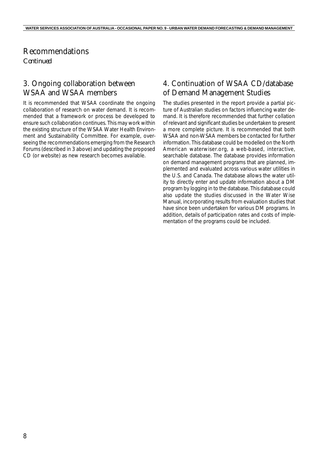#### Recommendations *Continued*

### 3. Ongoing collaboration between WSAA and WSAA members

It is recommended that WSAA coordinate the ongoing collaboration of research on water demand. It is recommended that a framework or process be developed to ensure such collaboration continues. This may work within the existing structure of the WSAA Water Health Environment and Sustainability Committee. For example, overseeing the recommendations emerging from the Research Forums (described in 3 above) and updating the proposed CD (or website) as new research becomes available.

### 4. Continuation of WSAA CD/database of Demand Management Studies

The studies presented in the report provide a partial picture of Australian studies on factors influencing water demand. It is therefore recommended that further collation of relevant and significant studies be undertaken to present a more complete picture. It is recommended that both WSAA and non-WSAA members be contacted for further information. This database could be modelled on the North American waterwiser.org, a web-based, interactive, searchable database. The database provides information on demand management programs that are planned, implemented and evaluated across various water utilities in the U.S. and Canada. The database allows the water utility to directly enter and update information about a DM program by logging in to the database. This database could also update the studies discussed in the Water Wise Manual, incorporating results from evaluation studies that have since been undertaken for various DM programs. In addition, details of participation rates and costs of implementation of the programs could be included.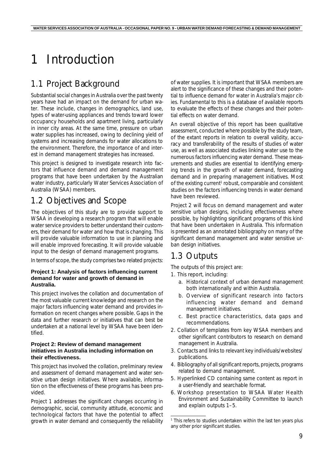# 1 Introduction

# 1.1 Project Background

Substantial social changes in Australia over the past twenty years have had an impact on the demand for urban water. These include, changes in demographics, land use, types of water-using appliances and trends toward lower occupancy households and apartment living, particularly in inner city areas. At the same time, pressure on urban water supplies has increased, owing to declining yield of systems and increasing demands for water allocations to the environment. Therefore, the importance of and interest in demand management strategies has increased.

This project is designed to investigate research into factors that influence demand and demand management programs that have been undertaken by the Australian water industry, particularly Water Services Association of Australia (WSAA) members.

# 1.2 Objectives and Scope

The objectives of this study are to provide support to WSAA in developing a research program that will enable water service providers to better understand their customers, their demand for water and how that is changing. This will provide valuable information to use in planning and will enable improved forecasting. It will provide valuable input to the design of demand management programs.

In terms of scope, the study comprises two related projects:

#### **Project 1: Analysis of factors influencing current demand for water and growth of demand in Australia.**

This project involves the collation and documentation of the most valuable current knowledge and research on the major factors influencing water demand and provides information on recent changes where possible. Gaps in the data and further research or initiatives that can best be undertaken at a national level by WSAA have been identified.

#### **Project 2: Review of demand management initiatives in Australia including information on their effectiveness.**

This project has involved the collation, preliminary review and assessment of demand management and water sensitive urban design initiatives. Where available, information on the effectiveness of these programs has been provided.

*Project 1* addresses the significant changes occurring in demographic, social, community attitude, economic and technological factors that have the potential to affect growth in water demand and consequently the reliability

of water supplies. It is important that WSAA members are alert to the significance of these changes and their potential to influence demand for water in Australia's major cities. Fundamental to this is a database of available reports to evaluate the effects of these changes and their potential effects on water demand.

An overall objective of this report has been qualitative assessment, conducted where possible by the study team, of the extant reports in relation to overall validity, accuracy and transferability of the results of studies of water use, as well as associated studies linking water use to the numerous factors influencing water demand. These measurements and studies are essential to identifying emerging trends in the growth of water demand, forecasting demand and in preparing management initiatives. Most of the existing current<sup>1</sup> robust, comparable and consistent studies on the factors influencing trends in water demand have been reviewed.

*Project 2* will focus on demand management and water sensitive urban designs, including effectiveness where possible, by highlighting significant programs of this kind that have been undertaken in Australia. This information is presented as an annotated bibliography on many of the significant demand management and water sensitive urban design initiatives.

## 1.3 Outputs

The outputs of this project are:

- 1. This report, including:
	- a. Historical context of urban demand management both internationally and within Australia.
	- b. Overview of significant research into factors influencing water demand and demand management initiatives.
	- c. Best practice characteristics, data gaps and recommendations.
- 2. Collation of templates from key WSAA members and other significant contributors to research on demand management in Australia.
- 3. Contacts and links to relevant key individuals/websites/ publications.
- 4. Bibliography of all significant reports, projects, programs related to demand management.
- 5. Hyperlinked CD containing same content as report in a user-friendly and searchable format.
- 6. Workshop presentation to WSAA Water Health Environment and Sustainability Committee to launch and explain outputs 1–5.

<sup>&</sup>lt;sup>1</sup> This refers to studies undertaken within the last ten years plus any other prior significant studies.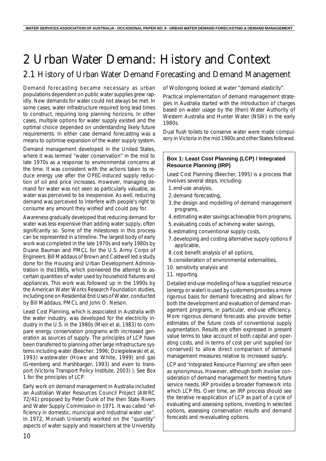# 2 Urban Water Demand: History and Context

## 2.1 History of Urban Water Demand Forecasting and Demand Management

Demand forecasting became necessary as urban populations dependent on public water supplies grew rapidly. New demands for water could not always be met. In some cases, water infrastructure required long lead times to construct, requiring long planning horizons. In other cases, multiple options for water supply existed and the optimal choice depended on understanding likely future requirements. In either case demand forecasting was a means to optimise expansion of the water supply system.

Demand management developed in the United States, where it was termed "water conservation" in the mid to late 1970s as a response to environmental concerns at the time. It was consistent with the actions taken to reduce energy use after the OPEC-induced supply reduction of oil and price increases. However, managing demand for water was not seen as particularly valuable, as water was perceived to be inexpensive. As well, reducing demand was perceived to interfere with people's right to consume any amount they wished and could pay for.

Awareness gradually developed that reducing demand for water was less expensive than adding water supply, often significantly so. Some of the milestones in this process can be represented in a timeline. The largest body of early work was completed in the late 1970s and early 1980s by Duane Bauman and PMCL for the U.S. Army Corps of Engineers. Bill Maddaus of Brown and Caldwell led a study done for the Housing and Urban Development Administration in the1980s, which pioneered the attempt to ascertain quantities of water used by household fixtures and appliances. This work was followed up in the 1990s by the American Water Works Research Foundation studies, including one on Residential End Uses of Water, conducted by Bill Maddaus, PMCL and John O. Nelson.

Least Cost Planning, which is associated in Australia with the water industry, was developed for the electricity industry in the U.S. in the 1980s (Mieir et al, 1983) to compare energy conservation programs with increased generation as sources of supply. The principles of LCP have been transferred to planning other large infrastructure systems including water (Beecher, 1996; Dziegielewski et al, 1993) wastewater (Howe and White, 1999) and gas (Greenberg and Harshbarger, 1993) and even to transport (Victoria Transport Policy Institute, 2003) ). See *Box 1* for the principles of LCP.

Early work on demand management in Australia included an Australian Water Resources Council Project (AWRC 72/41) proposed by Peter Dunk of the then State Rivers and Water Supply Commission in 1971. It was called "efficiency in domestic, municipal and industrial water use". In 1972, Monash University worked on the "quantity" aspects of water supply and researchers at the University of Wollongong looked at water "demand elasticity".

Practical implementation of demand management strategies in Australia started with the introduction of charges based on water usage by the (then) Water Authority of Western Australia and Hunter Water (NSW) in the early 1980s.

Dual flush toilets to conserve water were made compulsory in Victoria in the mid 1980s and other States followed.

#### **Box 1: Least Cost Planning (LCP) / Integrated Resource Planning (IRP)**

Least Cost Planning (Beecher, 1995) is a process that involves several steps, including:

- 1.end-use analysis,
- 2.demand forecasting,
- 3.the design and modelling of demand management programs,
- 4.estimating water savings achievable from programs,
- 5.evaluating costs of achieving water savings,
- 6.estimating conventional supply costs,
- 7.developing and costing alternative supply options if applicable,
- 8.cost benefit analysis of all options,
- 9.consideration of environmental externalities,
- 10. sensitivity analysis and
- 11. reporting.

Detailed end-use modelling of how a supplied resource (energy or water) is used by customers provides a more rigorous basis for demand forecasting and allows for both the development and evaluation of demand management programs, in particular, end-use efficiency. More rigorous demand forecasts also provide better estimates of the future costs of conventional supply augmentation. Results are often expressed in present value terms to take account of both capital and operating costs, and in terms of cost per unit supplied (or conserved) to allow direct comparison of demand management measures relative to increased supply.

LCP and 'Integrated Resource Planning' are often seen as synonymous. However, although both involve consideration of demand management for meeting future service needs, IRP provides a broader framework into which LCP fits. Over time, an IRP process should see the iterative re-application of LCP as part of a cycle of evaluating and assessing options, investing in selected options, assessing conservation results and demand forecasts and re-evaluating options.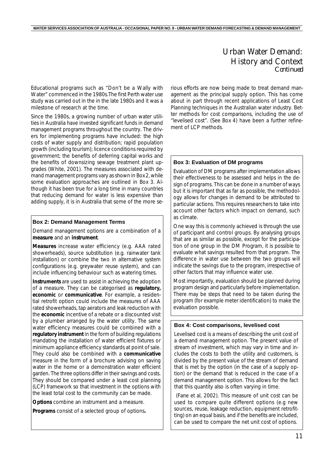#### Urban Water Demand: History and Context *Continued*

Educational programs such as "Don't be a Wally with Water" commenced in the 1980s.The first Perth water use study was carried out in the in the late 1980s and it was a milestone of research at the time.

Since the 1980s, a growing number of urban water utilities in Australia have invested significant funds in demand management programs throughout the country. The drivers for implementing programs have included: the high costs of water supply and distribution; rapid population growth (including tourism); licence conditions required by government; the benefits of deferring capital works and the benefits of downsizing sewage treatment plant upgrades (White, 2001). The measures associated with demand management programs vary as shown in *Box 2*, while some evaluation approaches are outlined in *Box 3*. Although it has been true for a long time in many countries that reducing demand for water is less expensive than adding supply, it is in Australia that some of the more se-

#### **Box 2: Demand Management Terms**

Demand management options are a combination of a *measure* and an *instrument*.

*Measures* increase water efficiency (e.g. AAA rated showerheads), source substitution (e.g. rainwater tank installation) or combine the two in alternative system configurations (e.g. greywater reuse system), and can include influencing behaviour such as watering times.

*Instruments* are used to assist in achieving the adoption of a measure. They can be categorised as **regulatory, economic** or **communicative**. For example, a residential retrofit option could include the measures of AAA rated showerheads, tap aerators and leak reduction with the **economic** incentive of a rebate or a discounted visit by a plumber arranged by the water utility. The same water efficiency measures could be combined with a **regulatory instrument** in the form of building regulations mandating the installation of water efficient fixtures or minimum appliance efficiency standards at point of sale. They could also be combined with a **communicative** measure in the form of a brochure advising on saving water in the home or a demonstration water efficient garden. The three options differ in their savings and costs. They should be compared under a least cost planning (LCP) framework so that investment in the options with the least total cost to the community can be made.

*Options* combine an instrument and a measure.

*Programs* consist of a selected group of options**.**

rious efforts are now being made to treat demand management as the principal supply option. This has come about in part through recent applications of Least Cost Planning techniques in the Australian water industry. Better methods for cost comparisons, including the use of "levelised cost". (See *Box 4*) have been a further refinement of LCP methods.

#### **Box 3: Evaluation of DM programs**

Evaluation of DM programs after implementation allows their effectiveness to be assessed and helps in the design of programs. This can be done in a number of ways but it is important that as far as possible, the methodology allows for changes in demand to be attributed to particular actions. This requires researchers to take into account other factors which impact on demand, such as climate.

One way this is commonly achieved is through the use of participant and control groups. By analysing groups that are as similar as possible, except for the participation of one group in the DM Program, it is possible to evaluate what savings resulted from that program. The difference in water use between the two groups will indicate the savings due to the program, irrespective of other factors that may influence water use.

Most importantly, evaluation should be planned during program design and particularly before implementation. There may be steps that need to be taken during the program (for example meter identification) to make the evaluation possible.

#### **Box 4: Cost comparisons, levelised cost**

Levelised cost is a means of describing the unit cost of a demand management option. The present value of stream of investment, which may vary in time and includes the costs to both the utility and customers, is divided by the present value of the stream of demand that is met by the option (in the case of a supply option) or the demand that is reduced in the case of a demand management option. This allows for the fact that this quantity also is often varying in time.

 (Fane *et al*, 2002). This measure of unit cost can be used to compare quite different options (e.g new sources, reuse, leakage reduction, equipment retrofitting) on an equal basis, and if the benefits are included, can be used to compare the net unit cost of options.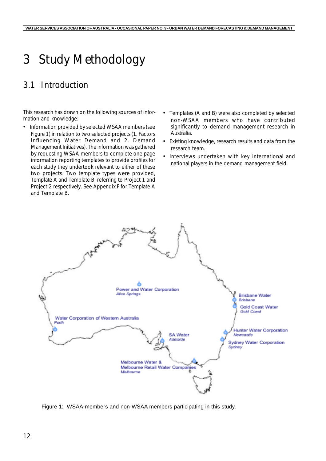# 3 Study Methodology

# 3.1 Introduction

This research has drawn on the following sources of information and knowledge:

- Information provided by selected WSAA members (see *Figure 1*) in relation to two selected projects (1. Factors Influencing Water Demand and 2. Demand Management Initiatives). The information was gathered by requesting WSAA members to complete one page information reporting templates to provide profiles for each study they undertook relevant to either of these two projects. Two template types were provided, *Template A* and *Template B*, referring to Project 1 and Project 2 respectively. See *Appendix F* for Template A and Template B.
- Templates (A and B) were also completed by selected non-WSAA members who have contributed significantly to demand management research in Australia.
- Existing knowledge, research results and data from the research team.
- Interviews undertaken with key international and national players in the demand management field.



Figure 1: WSAA-members and non-WSAA members participating in this study.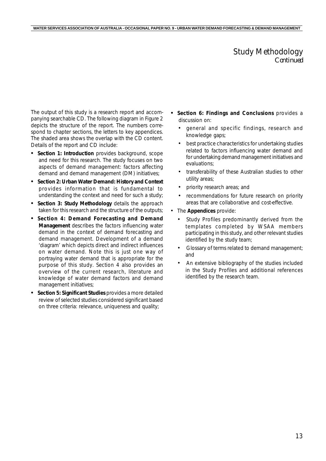#### Study Methodology *Continued*

The output of this study is a research report and accompanying searchable CD. The following diagram in *Figure 2* depicts the structure of the report. The numbers correspond to chapter sections, the letters to key appendices. The shaded area shows the overlap with the CD content. Details of the report and CD include:

- *Section 1: Introduction* provides background, scope and need for this research. The study focuses on two aspects of demand management: factors affecting demand and demand management (DM) initiatives;
- *• Section 2: Urban Water Demand: History and Context* provides information that is fundamental to understanding the context and need for such a study;
- *• Section 3: Study Methodology* details the approach taken for this research and the structure of the outputs;
- *• Section 4: Demand Forecasting and Demand Management* describes the factors influencing water demand in the context of demand forecasting and demand management. Development of a demand 'diagram' which depicts direct and indirect influences on water demand. Note this is just one way of portraying water demand that is appropriate for the purpose of this study. *Section 4* also provides an overview of the current research, literature and knowledge of water demand factors and demand management initiatives;
- *• Section 5: Significant Studies* provides a more detailed review of selected studies considered significant based on three criteria: relevance, uniqueness and quality;
- *• Section 6: Findings and Conclusions* provides a discussion on:
	- general and specific findings, research and knowledge gaps;
	- best practice characteristics for undertaking studies related to factors influencing water demand and for undertaking demand management initiatives and evaluations;
	- transferability of these Australian studies to other utility areas;
	- priority research areas; and
	- recommendations for future research on priority areas that are collaborative and cost-effective.
- The **Appendices** provide:
	- Study Profiles predominantly derived from the templates completed by WSAA members participating in this study, and other relevant studies identified by the study team;
	- Glossary of terms related to demand management; and
	- An extensive bibliography of the studies included in the Study Profiles and additional references identified by the research team.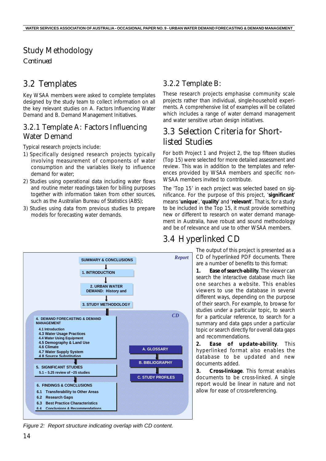# Study Methodology

*Continued*

# 3.2 Templates

Key WSAA members were asked to complete templates designed by the study team to collect information on all the key relevant studies on A*. Factors Influencing Water Demand* and B*. Demand Management Initiatives*.

### 3.2.1 Template A: Factors Influencing Water Demand

Typical research projects include:

- 1) Specifically designed research projects typically involving measurement of components of water consumption and the variables likely to influence demand for water;
- 2) Studies using operational data including water flows and routine meter readings taken for billing purposes together with information taken from other sources, such as the Australian Bureau of Statistics (ABS);
- 3) Studies using data from previous studies to prepare models for forecasting water demands.

### 3.2.2 Template B:

These research projects emphasise community scale projects rather than individual, single-household experiments. A comprehensive list of examples will be collated which includes a range of water demand management and water sensitive urban design initiatives.

# 3.3 Selection Criteria for Shortlisted Studies

For both Project 1 and Project 2, the top fifteen studies (Top 15) were selected for more detailed assessment and review. This was in addition to the templates and references provided by WSAA members and specific non-WSAA members invited to contribute.

The 'Top 15' in each project was selected based on significance. For the purpose of this project, '**significant**' means '**unique**', '**quality**' and '**relevant**'. That is, for a study to be included in the Top 15, it must provide something new or different to research on water demand management in Australia, have robust and sound methodology and be of relevance and use to other WSAA members.

# 3.4 Hyperlinked CD

*Report* 

The output of this project is presented as a CD of hyperlinked PDF documents. There are a number of benefits to this format:

*1. Ease of search-ability*. The viewer can search the interactive database much like one searches a website. This enables viewers to use the database in several different ways, depending on the purpose of their search. For example, to browse for studies under a particular topic, to search for a particular reference, to search for a summary and data gaps under a particular topic or search directly for overall data gaps and recommendations.

*2. Ease of update-ability*. This hyperlinked format also enables the database to be updated and new documents added.

*3. Cross-linkage*. This format enables documents to be cross-linked. A single report would be linear in nature and not allow for ease of cross-referencing.



**3. STUDY METHODOLOGY**

**2. URBAN WATER DEMAND: History and** 

**1. INTRODUCTION** 

**SUMMARY & CONCLUSIONS** 

*Figure 2: Report structure indicating overlap with CD content.*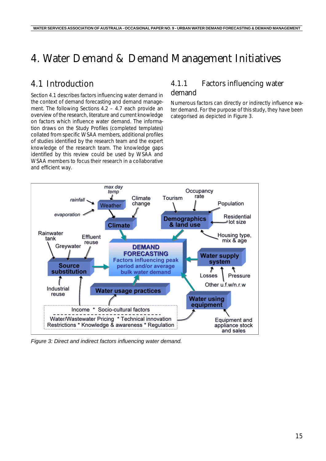# 4. Water Demand & Demand Management Initiatives

# 4.1 Introduction

*Section 4.1* describes factors influencing water demand in the context of demand forecasting and demand management. The following *Sections 4.2 – 4.7* each provide an overview of the research, literature and current knowledge on factors which influence water demand. The information draws on the Study Profiles (completed templates) collated from specific WSAA members, additional profiles of studies identified by the research team and the expert knowledge of the research team. The knowledge gaps identified by this review could be used by WSAA and WSAA members to focus their research in a collaborative and efficient way.

#### 4.1.1 Factors influencing water demand

Numerous factors can directly or indirectly influence water demand. For the purpose of this study, they have been categorised as depicted in *Figure 3*.



*Figure 3: Direct and indirect factors influencing water demand.*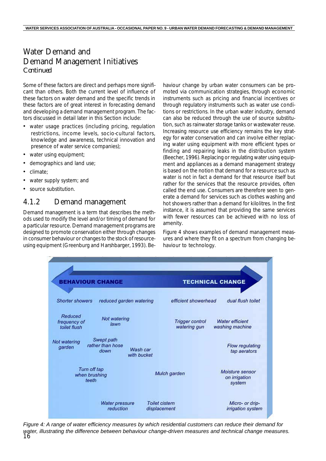Some of these factors are direct and perhaps more significant than others. Both the current level of influence of these factors on water demand and the specific trends in these factors are of great interest in forecasting demand and developing a demand management program. The factors discussed in detail later in this Section include:

- water usage practices (including pricing, regulation restrictions, income levels, socio-cultural factors, knowledge and awareness, technical innovation and presence of water service companies);
- water using equipment;
- demographics and land use;
- climate;
- water supply system; and
- source substitution.

#### 4.1.2 Demand management

Demand management is a term that describes the methods used to modify the level and/or timing of demand for a particular resource. Demand management programs are designed to promote conservation either through changes in consumer behaviour or changes to the stock of resourceusing equipment (Greenburg and Harshbarger, 1993). Behaviour change by urban water consumers can be promoted via communication strategies, through economic instruments such as pricing and financial incentives or through regulatory instruments such as water use conditions or restrictions. In the urban water industry, demand can also be reduced through the use of source substitution, such as rainwater storage tanks or wastewater reuse. Increasing resource use efficiency remains the key strategy for water conservation and can involve either replacing water using equipment with more efficient types or finding and repairing leaks in the distribution system (Beecher, 1996). Replacing or regulating water using equipment and appliances as a demand management strategy is based on the notion that demand for a resource such as water is not in fact a demand for that resource itself but rather for the services that the resource provides, often called the end use. Consumers are therefore seen to generate a demand for services such as clothes washing and hot showers rather than a demand for kilolitres. In the first instance, it is assumed that providing the same services with fewer resources can be achieved with no loss of amenity.

*Figure 4* shows examples of demand management measures and where they fit on a spectrum from changing behaviour to technology.



16 *Figure 4: A range of water efficiency measures by which residential customers can reduce their demand for water, illustrating the difference between behaviour change-driven measures and technical change measures.*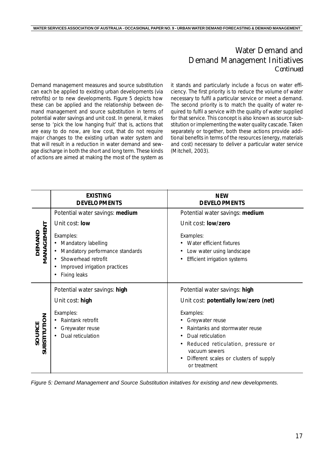Demand management measures and source substitution can each be applied to existing urban developments (via retrofits) or to new developments. *Figure 5* depicts how these can be applied and the relationship between demand management and source substitution in terms of potential water savings and unit cost. In general, it makes sense to 'pick the low hanging fruit' that is, actions that are easy to do now, are low cost, that do not require major changes to the existing urban water system and that will result in a reduction in water demand and sewage discharge in both the short and long term. These kinds of actions are aimed at making the most of the system as it stands and particularly include a focus on water efficiency. The first priority is to reduce the volume of water necessary to fulfil a particular service or meet a demand. The second priority is to match the quality of water required to fulfil a service with the quality of water supplied for that service. This concept is also known as source substitution or implementing the water quality cascade. Taken separately or together, both these actions provide additional benefits in terms of the resources (energy, materials and cost) necessary to deliver a particular water service (Mitchell, 2003).

|                        | <b>EXISTING</b><br><b>DEVELOPMENTS</b>                                                                                                               | <b>NEW</b><br><b>DEVELOPMENTS</b>                                                                                 |
|------------------------|------------------------------------------------------------------------------------------------------------------------------------------------------|-------------------------------------------------------------------------------------------------------------------|
|                        | Potential water savings: medium                                                                                                                      | Potential water savings: medium                                                                                   |
|                        | Unit cost: low                                                                                                                                       | Unit cost: low/zero                                                                                               |
| MANAGEMENT<br>OEMAND   | Examples:<br>• Mandatory labelling<br>Mandatory performance standards<br>Showerhead retrofit<br>Improved irrigation practices<br><b>Fixing leaks</b> | Examples:<br>Water efficient fixtures<br>٠<br>Low water using landscape<br>٠<br>Efficient irrigation systems<br>٠ |
|                        | Potential water savings: high                                                                                                                        | Potential water savings: high                                                                                     |
|                        | Unit cost: high                                                                                                                                      | Unit cost: potentially low/zero (net)                                                                             |
|                        | Examples:                                                                                                                                            | Examples:                                                                                                         |
| SUBSTITUTION<br>SOURCE | Raintank retrofit<br>٠                                                                                                                               | Greywater reuse<br>Raintanks and stormwater reuse<br>٠                                                            |
|                        | Greywater reuse<br>Dual reticulation                                                                                                                 | Dual reticulation<br>٠                                                                                            |
|                        |                                                                                                                                                      | Reduced reticulation, pressure or<br>٠                                                                            |
|                        |                                                                                                                                                      | vacuum sewers<br>Different scales or clusters of supply                                                           |
|                        |                                                                                                                                                      | or treatment                                                                                                      |

*Figure 5: Demand Management and Source Substitution initatives for existing and new developments.*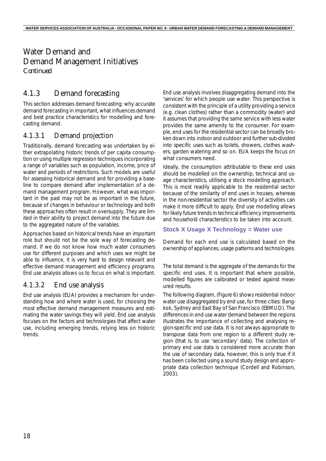### 4.1.3 Demand forecasting

This section addresses demand forecasting: why accurate demand forecasting in important, what influences demand and best practice characteristics for modelling and forecasting demand.

#### 4.1.3.1 Demand projection

Traditionally, demand forecasting was undertaken by either extrapolating historic trends of per capita consumption or using multiple regression techniques incorporating a range of variables such as population, income, price of water and periods of restrictions. Such models are useful for assessing historical demand and for providing a baseline to compare demand after implementation of a demand management program. However, what was important in the past may not be as important in the future, because of changes in behaviour or technology and both these approaches often result in oversupply. They are limited in their ability to project demand into the future due to the aggregated nature of the variables.

Approaches based on historical trends have an important role but should not be the sole way of forecasting demand. If we do not know how much water consumers use for different purposes and which uses we might be able to influence, it is very hard to design relevant and effective demand management and efficiency programs. End use analysis allows us to focus on what is important.

#### 4.1.3.2 End use analysis

End use analysis (EUA) provides a mechanism for understanding how and where water is used, for choosing the most effective demand management measures and estimating the water savings they will yield. End use analysis focuses on the factors and technologies that affect water use, including emerging trends, relying less on historic trends.

End use analysis involves disaggregating demand into the 'services' for which people use water. This perspective is consistent with the principle of a utility providing a service (e.g. clean clothes) rather than a commodity (water) and it assumes that providing the same service with less water provides the same amenity to the consumer. For example, end uses for the residential sector can be broadly broken down into indoor and outdoor and further sub-divided into specific uses such as toilets, showers, clothes washers, garden watering and so on. EUA keeps the focus on what consumers need.

Ideally, the consumption attributable to these end uses should be modelled on the ownership, technical and usage characteristics, utilising a stock modelling approach. This is most readily applicable to the residential sector because of the similarity of end uses in houses, whereas in the non-residential sector the diversity of activities can make it more difficult to apply. End use modelling allows for likely future trends in technical efficiency improvements and household characteristics to be taken into account.

#### **Stock X Usage X Technology = Water use**

Demand for each end use is calculated based on the ownership of appliances, usage patterns and technologies.

The total demand is the aggregate of the demands for the specific end uses. It is important that where possible, modelled figures are calibrated or tested against measured results.

The following diagram, (*Figure 6*) shows residential indoor water use disaggregated by end use, for three cities: Bangkok, Sydney and East Bay of San Francisco (EBMUD). The differences in end use water demand between the regions illustrates the importance of collecting and analysing region-specific end use data. It is not always appropriate to transpose data from one region to a different study region (that is, to use 'secondary' data). The collection of primary end use data is considered more accurate than the use of secondary data, however, this is only true if it has been collected using a sound study design and appropriate data collection technique (Cordell and Robinson, 2003).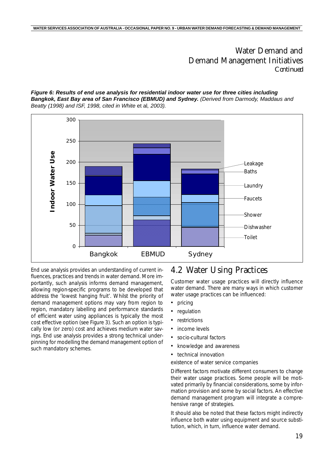#### *Figure 6: Results of end use analysis for residential indoor water use for three cities including Bangkok, East Bay area of San Francisco (EBMUD) and Sydney. (Derived from Darmody, Maddaus and Beatty (1998) and ISF, 1998, cited in White* et al*, 2003).*



End use analysis provides an understanding of current influences, practices and trends in water demand. More importantly, such analysis informs demand management, allowing region-specific programs to be developed that address the 'lowest hanging fruit'. Whilst the priority of demand management options may vary from region to region, mandatory labelling and performance standards of efficient water using appliances is typically the most cost effective option (see *Figure 3*). Such an option is typically low (or zero) cost and achieves medium water savings. End use analysis provides a strong technical underpinning for modelling the demand management option of such mandatory schemes.

## 4.2 Water Using Practices

Customer water usage practices will directly influence water demand. There are many ways in which customer water usage practices can be influenced:

- pricing
- regulation
- **restrictions**
- income levels
- socio-cultural factors
- knowledge and awareness
- technical innovation

existence of water service companies

Different factors motivate different consumers to change their water usage practices. Some people will be motivated primarily by financial considerations, some by information provision and some by social factors. An effective demand management program will integrate a comprehensive range of strategies.

It should also be noted that these factors might indirectly influence both water using equipment and source substitution, which, in turn, influence water demand.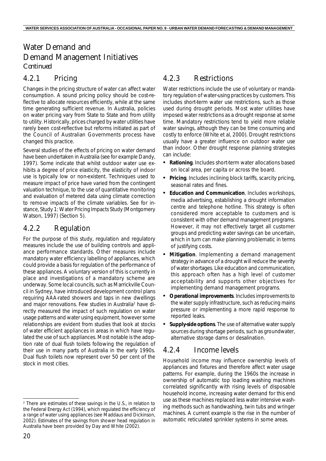#### 4.2.1 Pricing

Changes in the pricing structure of water can affect water consumption. A sound pricing policy should be cost-reflective to allocate resources efficiently, while at the same time generating sufficient revenue. In Australia, policies on water pricing vary from State to State and from utility to utility. Historically, prices charged by water utilities have rarely been cost-reflective but reforms initiated as part of the Council of Australian Governments process have changed this practice.

Several studies of the effects of pricing on water demand have been undertaken in Australia (see for example Dandy, 1997). Some indicate that whilst outdoor water use exhibits a degree of price elasticity, the elasticity of indoor use is typically low or non-existent. Techniques used to measure impact of price have varied from the contingent valuation technique, to the use of quantitative monitoring and evaluation of metered data using climate correction to remove impacts of the climate variables. See for instance, Study 1: Water Pricing Impacts Study (Montgomery Watson, 1997) (*Section 5*).

#### 4.2.2 Regulation

For the purpose of this study, regulation and regulatory measures include the use of building controls and appliance performance standards. Other measures include mandatory water efficiency labelling of appliances, which could provide a basis for regulation of the performance of these appliances. A voluntary version of this is currently in place and investigations of a mandatory scheme are underway. Some local councils, such as Marrickville Council in Sydney, have introduced development control plans requiring AAA-rated showers and taps in new dwellings and major renovations. Few studies in Australia<sup>2</sup> have directly measured the impact of such regulation on water usage patterns and water using equipment, however some relationships are evident from studies that look at stocks of water efficient appliances in areas in which have regulated the use of such appliances. Most notable is the adoption rate of dual flush toilets following the regulation of their use in many parts of Australia in the early 1990s. Dual flush toilets now represent over 50 per cent of the stock in most cities.

#### 4.2.3 Restrictions

Water restrictions include the use of voluntary or mandatory regulation of water-using practices by customers. This includes short-term water use restrictions, such as those used during drought periods. Most water utilities have imposed water restrictions as a drought response at some time. Mandatory restrictions tend to yield more reliable water savings, although they can be time consuming and costly to enforce (White et al, 2000). Drought restrictions usually have a greater influence on outdoor water use than indoor. Other drought response planning strategies can include:

- *• Rationing*. Includes short-term water allocations based on local area, per capita or across the board.
- *• Pricing*. Includes inclining block tariffs, scarcity pricing, seasonal rates and fines.
- *• Education and Communication.* Includes workshops, media advertising, establishing a drought information centre and telephone hotline. This strategy is often considered more acceptable to customers and is consistent with other demand management programs. However, it may not effectively target all customer groups and predicting water savings can be uncertain, which in turn can make planning problematic in terms of justifying costs.
- *• Mitigation.* Implementing a demand management strategy in advance of a drought will reduce the severity of water shortages. Like education and communication, this approach often has a high level of customer acceptability and supports other objectives for implementing demand management programs.
- *• Operational improvements.* Includes improvements to the water supply infrastructure, such as reducing mains pressure or implementing a more rapid response to reported leaks.
- *• Supply-side options*. The use of alternative water supply sources during shortage periods, such as groundwater, alternative storage dams or desalination.

#### 4.2.4 Income levels

Household income may influence ownership levels of appliances and fixtures and therefore affect water usage patterns. For example, during the 1960s the increase in ownership of automatic top loading washing machines correlated significantly with rising levels of disposable household income, increasing water demand for this end use as these machines replaced less water intensive washing methods such as handwashing, twin tubs and wringer machines. A current example is the rise in the number of automatic reticulated sprinkler systems in some areas.

<sup>2</sup> There are estimates of these savings in the U.S., in relation to the Federal Energy Act (1994), which regulated the efficiency of a range of water using appliances (see Maddaus and Dickinson, 2002). Estimates of the savings from shower head regulation in Australia have been provided by Day and White (2002).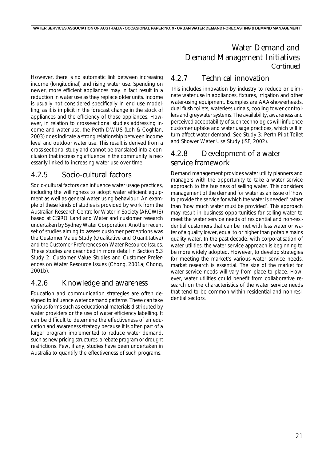However, there is no automatic link between increasing income (longitudinal) and rising water use. Spending on newer, more efficient appliances may in fact result in a reduction in water use as they replace older units. Income is usually not considered specifically in end use modelling, as it is implicit in the forecast change in the stock of appliances and the efficiency of those appliances. However, in relation to cross-sectional studies addressing income and water use, the Perth DWUS (Loh & Coghlan, 2003) does indicate a strong relationship between income level and outdoor water use. This result is derived from a cross-sectional study and cannot be translated into a conclusion that increasing affluence in the community is necessarily linked to increasing water use over time.

#### 4.2.5 Socio-cultural factors

Socio-cultural factors can influence water usage practices, including the willingness to adopt water efficient equipment as well as general water using behaviour. An example of these kinds of studies is provided by work from the Australian Research Centre for Water in Society (ARCWIS) based at CSIRO Land and Water and customer research undertaken by Sydney Water Corporation. Another recent set of studies aiming to assess customer perceptions was the Customer Value Study (Qualitative and Quantitative) and the Customer Preferences on Water Resource Issues. These studies are described in more detail in *Section 5.3* Study 2: Customer Value Studies and Customer Preferences on Water Resource Issues (Chong, 2001a; Chong, 2001b).

#### 4.2.6 Knowledge and awareness

Education and communication strategies are often designed to influence water demand patterns. These can take various forms such as educational materials distributed by water providers or the use of water efficiency labelling. It can be difficult to determine the effectiveness of an education and awareness strategy because it is often part of a larger program implemented to reduce water demand, such as new pricing structures, a rebate program or drought restrictions. Few, if any, studies have been undertaken in Australia to quantify the effectiveness of such programs.

## Water Demand and Demand Management Initiatives *Continued*

#### 4.2.7 Technical innovation

This includes innovation by industry to reduce or eliminate water use in appliances, fixtures, irrigation and other water-using equipment. Examples are AAA-showerheads, dual flush toilets, waterless urinals, cooling tower controllers and greywater systems. The availability, awareness and perceived acceptability of such technologies will influence customer uptake and water usage practices, which will in turn affect water demand. See Study 3: Perth Pilot Toilet and Shower Water Use Study (ISF, 2002).

### 4.2.8 Development of a water service framework

Demand management provides water utility planners and managers with the opportunity to take a water service approach to the business of selling water. This considers management of the demand for water as an issue of 'how to provide the service for which the water is needed' rather than 'how much water must be provided'. This approach may result in business opportunities for selling water to meet the water service needs of residential and non-residential customers that can be met with less water or water of a quality lower, equal to or higher than potable mains quality water. In the past decade, with corporatisation of water utilities, the water service approach is beginning to be more widely adopted. However, to develop strategies for meeting the market's various water service needs, market research is essential. The size of the market for water service needs will vary from place to place. However, water utilities could benefit from collaborative research on the characteristics of the water service needs that tend to be common within residential and non-residential sectors.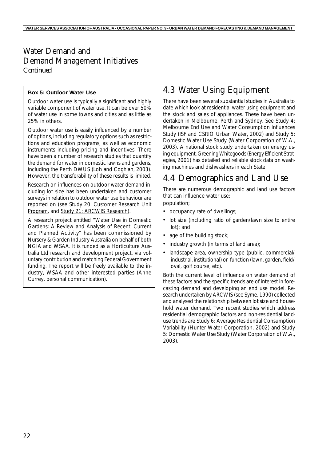#### **Box 5: Outdoor Water Use**

Outdoor water use is typically a significant and highly variable component of water use. It can be over 50% of water use in some towns and cities and as little as 25% in others.

Outdoor water use is easily influenced by a number of options, including regulatory options such as restrictions and education programs, as well as economic instruments including pricing and incentives. There have been a number of research studies that quantify the demand for water in domestic lawns and gardens, including the Perth DWUS (Loh and Coghlan, 2003). However, the transferability of these results is limited.

Research on influences on outdoor water demand including lot size has been undertaken and customer surveys in relation to outdoor water use behaviour are reported on (see Study 20: Customer Research Unit Program, and Study 21: ARCWIS Research).

A research project entitled "Water Use in Domestic Gardens: A Review and Analysis of Recent, Current and Planned Activity" has been commissioned by Nursery & Garden Industry Australia on behalf of both NGIA and WSAA. It is funded as a Horticulture Australia Ltd research and development project, via voluntary contribution and matching Federal Government funding. The report will be freely available to the industry, WSAA and other interested parties (Anne Currey, personal communication).

# 4.3 Water Using Equipment

There have been several substantial studies in Australia to date which look at residential water using equipment and the stock and sales of appliances. These have been undertaken in Melbourne, Perth and Sydney. See Study 4: Melbourne End Use and Water Consumption Influences Study (ISF and CSRIO Urban Water, 2002) and Study 5: Domestic Water Use Study (Water Corporation of W.A., 2003). A national stock study undertaken on energy using equipment, *Greening Whitegoods* (Energy Efficient Strategies, 2001) has detailed and reliable stock data on washing machines and dishwashers in each State.

# 4.4 Demographics and Land Use

There are numerous demographic and land use factors that can influence water use:

population;

- occupancy rate of dwellings;
- lot size (including ratio of garden/lawn size to entire lot); and
- age of the building stock;
- industry growth (in terms of land area);
- landscape area, ownership type (public, commercial/ industrial, institutional) or function (lawn, garden, field/ oval, golf course, etc).

Both the current level of influence on water demand of these factors and the specific trends are of interest in forecasting demand and developing an end use model. Research undertaken by ARCWIS (see Syme, 1990) collected and analysed the relationship between lot size and household water demand. Two recent studies which address residential demographic factors and non-residential landuse trends are Study 6: Average Residential Consumption Variability (Hunter Water Corporation, 2002) and Study 5: Domestic Water Use Study (Water Corporation of W.A., 2003).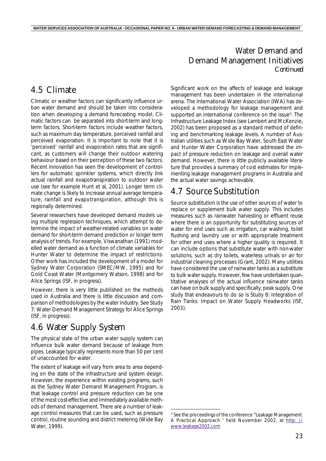# 4.5 Climate

Climatic or weather factors can significantly influence urban water demand and should be taken into consideration when developing a demand forecasting model. Climatic factors can be separated into short-term and longterm factors. Short-term factors include weather factors, such as maximum day temperature, *perceived* rainfall and *perceived* evaporation. It is important to note that it is 'perceived' rainfall and evaporation rates that are significant, as customers will change their outdoor watering behaviour based on their perception of these two factors. Recent innovation has seen the development of controllers for automatic sprinkler systems, which directly link actual rainfall and evapotranspiration to outdoor water use (see for example Hunt et al, 2001). Longer term climate change is likely to increase annual average temperature, rainfall and evapotranspiration, although this is regionally determined.

Several researchers have developed demand models using multiple regression techniques, which attempt to determine the impact of weather-related variables on water demand for short-term demand prediction or longer term analysis of trends. For example, Viswanathan (1991) modelled water demand as a function of climate variables for Hunter Water to determine the impact of restrictions. Other work has included the development of a model for Sydney Water Corporation (SMEC/MW, 1995) and for Gold Coast Water (Montgomery Watson, 1998) and for Alice Springs (ISF, in progress).

However, there is very little published on the methods used in Australia and there is little discussion and comparison of methodologies by the water industry. See Study 7: Water Demand Management Strategy for Alice Springs (ISF, in progress).

# 4.6 Water Supply System

The physical state of the urban water supply system can influence bulk water demand because of leakage from pipes. Leakage typically represents more than 50 per cent of unaccounted for water.

The extent of leakage will vary from area to area depending on the state of the infrastructure and system design. However, the experience within existing programs, such as the Sydney Water Demand Management Program, is that leakage control and pressure reduction can be one of the most cost-effective and immediately available methods of demand management. There are a number of leakage control measures that can be used, such as pressure control, routine sounding and district metering (Wide Bay Water, 1999).

Significant work on the affects of leakage and leakage management has been undertaken in the international arena. The International Water Association (IWA) has developed a methodology for leakage management and supported an international conference on the issue<sup>3</sup>. The Infrastructure Leakage Index (see Lambert and McKenzie, 2002) has been proposed as a standard method of defining and benchmarking leakage levels. A number of Australian utilities such as Wide Bay Water, South East Water and Hunter Water Corporation have addressed the impact of pressure reduction on leakage and overall water demand. However, there is little publicly available literature that provides a summary of cost estimates for implementing leakage management programs in Australia and the actual water savings achievable.

# 4.7 Source Substitution

Source substitution is the use of other sources of water to replace or supplement bulk water supply. This includes measures such as rainwater harvesting or effluent reuse where there is an opportunity for substituting sources of water for end uses such as irrigation, car washing, toilet flushing and laundry use or with appropriate treatment for other end uses where a higher quality is required. It can include options that substitute water with non-water solutions, such as dry toilets, waterless urinals or air for industrial cleaning processes (Grant, 2002). Many utilities have considered the use of rainwater tanks as a substitute to bulk water supply. However, few have undertaken quantitative analyses of the actual influence rainwater tanks can have on bulk supply and specifically, *peak* supply. One study that endeavours to do so is Study 8: Integration of Rain Tanks: Impact on Water Supply Headworks (ISF, 2003).

<sup>3</sup> See the proceedings of the conference "Leakage Management: A Practical Approach ' held November 2002, at http: // www.leakage2002.com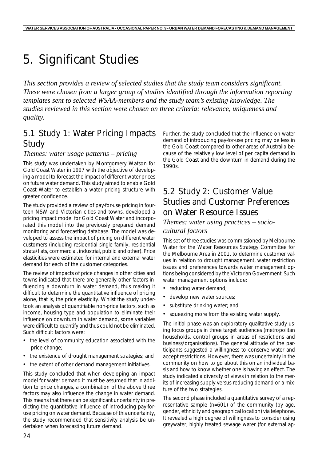# 5. Significant Studies

*This section provides a review of selected studies that the study team considers significant. These were chosen from a larger group of studies identified through the information reporting templates sent to selected WSAA-members and the study team's existing knowledge. The studies reviewed in this section were chosen on three criteria: relevance, uniqueness and quality.*

# 5.1 Study 1: Water Pricing Impacts Study

#### *Themes: water usage patterns – pricing*

This study was undertaken by Montgomery Watson for Gold Coast Water in 1997 with the objective of developing a model to forecast the impact of different water prices on future water demand. This study aimed to enable Gold Coast Water to establish a water pricing structure with greater confidence.

The study provided a review of pay-for-use pricing in fourteen NSW and Victorian cities and towns, developed a pricing impact model for Gold Coast Water and incorporated this model into the previously prepared demand monitoring and forecasting database. The model was developed to assess the impact of pricing on different water customers (including residential single family, residential strata/flats, commercial, industrial, public and other). Price elasticities were estimated for internal and external water demand for each of the customer categories.

The review of impacts of price changes in other cities and towns indicated that there are generally other factors influencing a downturn in water demand, thus making it difficult to determine the quantitative influence of pricing alone, that is, the price elasticity. Whilst the study undertook an analysis of quantifiable non-price factors, such as income, housing type and population to eliminate their influence on downturn in water demand, some variables were difficult to quantify and thus could not be eliminated. Such difficult factors were:

- the level of community education associated with the price change;
- the existence of drought management strategies; and
- the extent of other demand management initiatives.

This study concluded that when developing an impact model for water demand it must be assumed that in addition to price changes, a combination of the above three factors may also influence the change in water demand. This means that there can be significant uncertainty in predicting the quantitative influence of introducing pay-foruse pricing on water demand. Because of this uncertainty, the study recommended that sensitivity analysis be undertaken when forecasting future demand.

Further, the study concluded that the influence on water demand of introducing pay-for-use pricing may be less in the Gold Coast compared to other areas of Australia because of the relatively low level of per capita demand in the Gold Coast and the downturn in demand during the 1990s.

# 5.2 Study 2: Customer Value Studies and Customer Preferences on Water Resource Issues

#### *Themes: water using practices – sociocultural factors*

This set of three studies was commissioned by Melbourne Water for the Water Resources Strategy Committee for the Melbourne Area in 2001, to determine customer values in relation to drought management, water restriction issues and preferences towards water management options being considered by the Victorian Government. Such water management options include:

- reducing water demand;
- develop new water sources;
- substitute drinking water; and
- squeezing more from the existing water supply.

The initial phase was an exploratory qualitative study using focus groups in three target audiences (metropolitan households, control groups in areas of restrictions and business/organisations). The general attitude of the participants suggested a willingness to conserve water and accept restrictions. However, there was uncertainty in the community on how to go about this on an individual basis and how to know whether one is having an effect. The study indicated a diversity of views in relation to the merits of increasing supply versus reducing demand or a mixture of the two strategies.

The second phase included a quantitative survey of a representative sample (n=601) of the community (by age, gender, ethnicity and geographical location) via telephone. It revealed a high degree of willingness to consider using greywater, highly treated sewage water (for external ap-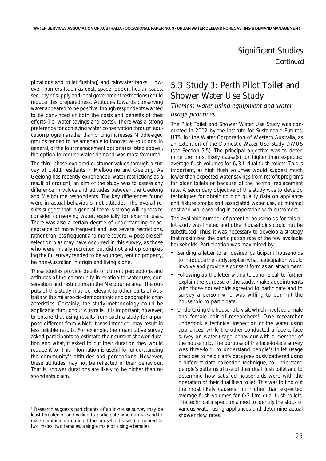plications and toilet flushing) and rainwater tanks. However, barriers (such as cost, space, odour, health issues, security of supply and local government restrictions) could reduce this preparedness. Attitudes towards conserving water appeared to be positive, though respondents wanted to be convinced of both the costs and benefits of their efforts (i.e. water savings and costs). There was a strong preference for achieving water conservation through education programs rather than pricing increases. Middle-aged groups tended to be amenable to innovative solutions. In general, of the four management options (as listed above), the option to reduce water demand was most favoured.

The third phase explored customer values through a survey of 1,411 residents in Melbourne and Geelong. As Geelong has recently experienced water restrictions as a result of drought, an aim of the study was to assess any difference in values and attitudes between the Geelong and Melbourne respondents. The key differences found were in actual behaviours, not attitudes. The overall results suggest that in general there is strong willingness to consider conserving water, especially for external uses. There was also a certain degree of understanding or acceptance of more frequent and less severe restrictions, rather than less frequent and more severe. A possible selfselection bias may have occurred in this survey, as those who were initially recruited but did not end up completing the full survey tended to be younger, renting property, be non-Australian in origin and living alone.

These studies provide details of current perceptions and attitudes of the community in relation to water use, conservation and restrictions in the Melbourne area. The outputs of this study may be relevant to other parts of Australia with similar socio-demographic and geographic characteristics. Certainly, the study methodology could be applicable throughout Australia. It is important, however, to ensure that using results from such a study for a purpose different from which it was intended, may result in less reliable results. For example, the quantitative survey asked participants to estimate their current shower duration and what, if asked to cut their duration they would reduce it to. This information is useful for understanding the community's attitudes and perceptions. However, these attitudes may not be reflected in their behaviour. That is, shower durations are likely to be higher than respondents claim.

# 5.3 Study 3: Perth Pilot Toilet and Shower Water Use Study

#### *Themes: water using equipment and water usage practices*

The Pilot Toilet and Shower Water Use Study was conducted in 2002 by the Institute for Sustainable Futures, UTS, for the Water Corporation of Western Australia, as an extension of the Domestic Water Use Study DWUS (see *Section 5.5*). The principal objective was to determine the most likely cause(s) for higher than expected average flush volumes for 6/3 L dual flush toilets. This is important, as high flush volumes would suggest much lower than expected water savings from retrofit programs for older toilets or because of the normal replacement rate. A secondary objective of this study was to develop techniques for obtaining high quality data on appliance and fixture stocks and associated water use, at minimal cost and while working in cooperation with customers.

The available number of potential households for this pilot study was limited and other households could not be substituted. Thus, it was necessary to develop a strategy that maximised the participation rate of the few available households. Participation was maximised by:

- Sending a letter to all desired participant households to introduce the study, explain what participation would involve and provide a consent form as an attachment;
- Following up the letter with a telephone call to further explain the purpose of the study, make appointments with those households agreeing to participate and to survey a person who was willing to commit the household to participate.
- Undertaking the household visit, which involved a male and female pair of researchers<sup>4</sup>. One researcher undertook a technical inspection of the water using appliances, while the other conducted a face-to-face survey on water usage behaviour with a member of the household. The purpose of the face-to-face survey was three-fold: to understand people's toilet usage practices to help clarify data previously gathered using a different data collection technique, to understand people's patterns of use of their dual flush toilet and to determine how satisfied households were with the operation of their dual flush toilet. This was to find out the most likely cause(s) for higher than expected average flush volumes for 6/3 litre dual flush toilets. The technical inspection aimed to identify the stock of various water using appliances and determine actual shower flow rates.

<sup>4</sup> Research suggests participants of an in-house survey may be least threatened and willing to participate when a male-and-female combination conduct the household visits (compared to two males, two females, a single male or a single female).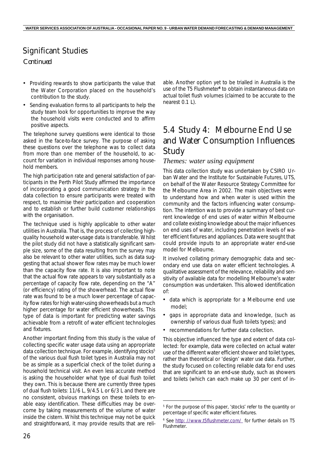# Significant Studies

#### *Continued*

- Providing rewards to show participants the value that the Water Corporation placed on the household's contribution to the study.
- Sending evaluation forms to all participants to help the study team look for opportunities to improve the way the household visits were conducted and to affirm positive aspects.

The telephone survey questions were identical to those asked in the face-to-face survey. The purpose of asking these questions over the telephone was to collect data from more than one member of the household, to account for variation in individual responses among household members.

The high participation rate and general satisfaction of participants in the Perth Pilot Study affirmed the importance of incorporating a good communication strategy in the data collection to ensure participants were treated with respect, to maximise their participation and cooperation and to establish or further build customer relationships with the organisation.

The technique used is highly applicable to other water utilities in Australia. That is, the process of collecting highquality household water-usage data is transferable. Whilst the pilot study did not have a statistically significant sample size, some of the data resulting from the survey may also be relevant to other water utilities, such as data suggesting that actual shower flow rates may be much lower than the capacity flow rate. It is also important to note that the actual flow rate appears to vary substantially as a percentage of capacity flow rate, depending on the "A" (or efficiency) rating of the showerhead. The actual flow rate was found to be a much lower percentage of capacity flow rates for high water-using showerheads but a much higher percentage for water efficient showerheads. This type of data is important for predicting water savings achievable from a retrofit of water efficient technologies and fixtures.

Another important finding from this study is the value of collecting specific water usage data using an appropriate data collection technique. For example, identifying stocks<sup>5</sup> of the various dual flush toilet types in Australia may not be as simple as a superficial check of the toilet during a household technical visit. An even less accurate method is asking the householder what type of dual flush toilet they own. This is because there are currently three types of dual flush toilets: 11/6 L, 9/4.5 L or 6/3 L and there are no consistent, obvious markings on these toilets to enable easy identification. These difficulties may be overcome by taking measurements of the volume of water inside the cistern. Whilst this technique may not be quick and straightforward, it may provide results that are reliable. Another option yet to be trialled in Australia is the use of the *T5 Flushmeter<sup>6</sup>* to obtain instantaneous data on actual toilet flush volumes (claimed to be accurate to the nearest 0.1 L).

# 5.4 Study 4: Melbourne End Use and Water Consumption Influences Study

#### *Themes: water using equipment*

This data collection study was undertaken by CSIRO Urban Water and the Institute for Sustainable Futures, UTS, on behalf of the Water Resource Strategy Committee for the Melbourne Area in 2002. The main objectives were to understand how and when water is used within the community and the factors influencing water consumption. The intention was to provide a summary of best current knowledge of end uses of water within Melbourne and collate existing knowledge about the major influences on end uses of water, including penetration levels of water efficient fixtures and appliances. Data were sought that could provide inputs to an appropriate water end-use model for Melbourne.

It involved collating primary demographic data and secondary end use data on water efficient technologies. A qualitative assessment of the relevance, reliability and sensitivity of available data for modelling Melbourne's water consumption was undertaken. This allowed identification of:

- data which is appropriate for a Melbourne end use model;
- gaps in appropriate data and knowledge, (such as ownership of various dual flush toilets types); and
- recommendations for further data collection.

This objective influenced the type and extent of data collected: for example, data were collected on *actual* water use of the different water efficient shower and toilet types, rather than *theoretical* or 'design' water use data. Further, the study focused on collecting reliable data for end uses that are significant to an end-use study, such as showers and toilets (which can each make up 30 per cent of in-

<sup>5</sup> For the purpose of this paper, 'stocks' refer to the quantity or percentage of specific water efficient fixtures.

<sup>&</sup>lt;sup>6</sup> See http: //www.t5flushmeter.com/ for further details on T5 **Flushmeter**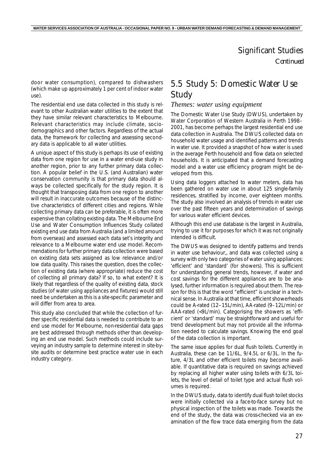door water consumption), compared to dishwashers (which make up approximately 1 per cent of indoor water use).

The residential end use data collected in this study is relevant to other Australian water utilities to the extent that they have similar relevant characteristics to Melbourne. Relevant characteristics may include climate, sociodemographics and other factors. Regardless of the actual data, the framework for collecting and assessing secondary data is applicable to all water utilities.

A unique aspect of this study is perhaps its use of existing data from one region for use in a water end-use study in another region, prior to any further primary data collection. A popular belief in the U.S. (and Australian) water conservation community is that primary data should always be collected specifically for the study region. It is thought that transposing data from one region to another will result in inaccurate outcomes because of the distinctive characteristics of different cities and regions. While collecting primary data can be preferable, it is often more expensive than collating existing data. The Melbourne End Use and Water Consumption Influences Study collated existing end use data from Australia (and a limited amount from overseas) and assessed each data set's integrity and relevance to a Melbourne water end use model. Recommendations for further primary data collection were based on existing data sets assigned as low relevance and/or low data quality. This raises the question, does the collection of existing data (where appropriate) reduce the cost of collecting all primary data? If so, to what extent? It is likely that regardless of the quality of existing data, stock studies (of water using appliances and fixtures) would still need be undertaken as this is a site-specific parameter and will differ from area to area.

This study also concluded that while the collection of further specific residential data is needed to contribute to an end use model for Melbourne, non-residential data gaps are best addressed through methods other than developing an end use model. Such methods could include surveying an industry sample to determine interest in site-bysite audits or determine best practice water use in each industry category.

# 5.5 Study 5: Domestic Water Use Study

#### *Themes: water using equipment*

The Domestic Water Use Study (DWUS), undertaken by Water Corporation of Western Australia in Perth 1998– 2001, has become perhaps the largest residential end use data collection in Australia. The DWUS collected data on household water usage and identified patterns and trends in water use. It provided a snapshot of how water is used in the average Perth household and flow data on selected households. It is anticipated that a demand forecasting model and a water use efficiency program might be developed from this.

Using data loggers attached to water meters, data has been gathered on water use in about 125 single-family residences, stratified by income, over eighteen months. The study also involved an analysis of trends in water use over the past fifteen years and determination of savings for various water efficient devices.

Although this end use database is the largest in Australia, trying to use it for purposes for which it was not originally intended is difficult.

The DWUS was designed to identify patterns and trends in water use behaviour,, and data was collected using a survey with only two categories of water using appliances: 'efficient' and 'standard' (for showers). This is sufficient for understanding general trends, however, if water and cost savings for the different appliances are to be analysed, further information is required about them. The reason for this is that the word "efficient" is unclear in a technical sense. In Australia at that time, efficient showerheads could be A-rated (12–15L/min), AA-rated (9–12L/min) or AAA-rated (<9L/min). Categorising the showers as 'efficient' or 'standard' may be straightforward and useful for trend development but may not provide all the information needed to calculate savings. Knowing the end goal of the data collection is important.

The same issue applies for dual flush toilets. Currently in Australia, these can be 11/6L, 9/4.5L or 6/3L. In the future, 4/3L and other efficient toilets may become available. If quantitative data is required on savings achieved by replacing all higher water using toilets with 6/3L toilets, the level of detail of toilet type and actual flush volumes is required.

In the DWUS study, data to identify dual flush toilet stocks were initially collected via a face-to-face survey but no physical inspection of the toilets was made. Towards the end of the study, the data was cross-checked via an examination of the flow trace data emerging from the data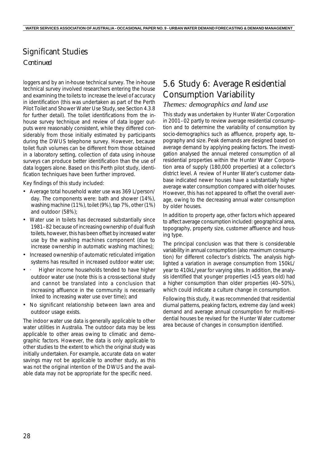## Significant Studies

#### *Continued*

loggers and by an in-house technical survey. The in-house technical survey involved researchers entering the house and examining the toilets to increase the level of accuracy in identification (this was undertaken as part of the Perth Pilot Toilet and Shower Water Use Study, see *Section 4.3.8* for further detail). The toilet identifications from the inhouse survey technique and review of data logger outputs were reasonably consistent, while they differed considerably from those initially estimated by participants during the DWUS telephone survey. However, because toilet flush volumes can be different from those obtained in a laboratory setting, collection of data using in-house surveys can produce better identification than the use of data loggers alone. Based on this Perth pilot study, identification techniques have been further improved.

Key findings of this study included:

- Average total household water use was 369 L/person/ day. The components were: bath and shower (14%), washing machine (11%), toilet (9%), tap 7%, other (1%) and outdoor (58%);
- Water use in toilets has decreased substantially since 1981–82 because of increasing ownership of dual flush toilets, however, this has been offset by increased water use by the washing machines component (due to increase ownership in automatic washing machines);
- Increased ownership of automatic reticulated irrigation systems has resulted in increased outdoor water use;
- Higher income households tended to have higher outdoor water use (note this is a cross-sectional study and cannot be translated into a conclusion that increasing affluence in the community is necessarily linked to increasing water use over time); and
- No significant relationship between lawn area and outdoor usage exists.

The indoor water use data is generally applicable to other water utilities in Australia. The outdoor data may be less applicable to other areas owing to climatic and demographic factors. However, the data is only applicable to other studies to the extent to which the original study was initially undertaken. For example, accurate data on water savings may not be applicable to another study, as this was not the original intention of the DWUS and the available data may not be appropriate for the specific need.

## 5.6 Study 6: Average Residential Consumption Variability

#### *Themes: demographics and land use*

This study was undertaken by Hunter Water Corporation in 2001–02 partly to review average residential consumption and to determine the variability of consumption by socio-demographics such as affluence, property age, topography and size. Peak demands are designed based on average demand by applying peaking factors. The investigation analysed the annual metered consumption of all residential properties within the Hunter Water Corporation area of supply (180,000 properties) at a collector's district level. A review of Hunter Water's customer database indicated newer houses have a substantially higher average water consumption compared with older houses. However, this has not appeared to offset the overall average, owing to the decreasing annual water consumption by older houses.

In addition to property age, other factors which appeared to affect average consumption included: geographical area, topography, property size, customer affluence and housing type.

The principal conclusion was that there is considerable variability in annual consumption (also maximum consumption) for different collector's districts. The analysis highlighted a variation in average consumption from 150kL/ year to 410kL/year for varying sites. In addition, the analysis identified that younger properties (<15 years old) had a higher consumption than older properties (40–50%), which could indicate a culture change in consumption.

Following this study, it was recommended that residential diurnal patterns, peaking factors, extreme day (and week) demand and average annual consumption for multi-residential houses be revised for the Hunter Water customer area because of changes in consumption identified.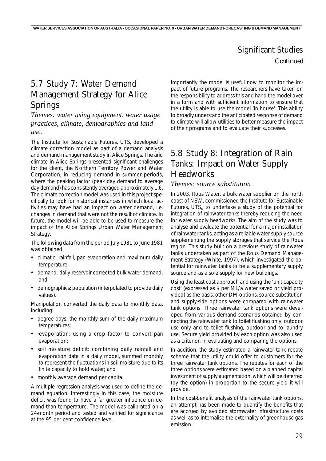# 5.7 Study 7: Water Demand Management Strategy for Alice Springs

*Themes: water using equipment, water usage practices, climate, demographics and land use.*

The Institute for Sustainable Futures, UTS, developed a climate correction model as part of a demand analysis and demand management study in Alice Springs. The arid climate in Alice Springs presented significant challenges for the client, the Northern Territory Power and Water Corporation, in reducing demand in summer periods, where the peaking factor (peak day demand to average day demand) has consistently averaged approximately 1.6. The climate correction model was used in this project specifically to look for historical instances in which local activities may have had an impact on water demand, i.e. changes in demand that were not the result of climate. In future, the model will be able to be used to measure the impact of the Alice Springs Urban Water Management Strategy.

The following data from the period July 1981 to June 1981 was obtained:

- climatic: rainfall, pan evaporation and maximum daily temperature;
- demand: daily reservoir-corrected bulk water demand; and
- demographics: population (interpolated to provide daily values).

Manipulation converted the daily data to monthly data, including:

- degree days: the monthly sum of the daily maximum temperatures;
- ·evaporation: using a crop factor to convert pan evaporation;
- soil moisture deficit: combining daily rainfall and evaporation data in a daily model, summed monthly to represent the fluctuations in soil moisture due to its finite capacity to hold water; and
- monthly average demand per capita.

A multiple regression analysis was used to define the demand equation. Interestingly in this case, the moisture deficit was found to have a far greater influence on demand than temperature. The model was calibrated on a 24-month period and tested and verified for significance at the 95 per cent confidence level.

Importantly the model is useful now to monitor the impact of future programs. The researchers have taken on the responsibility to address this and hand the model over in a form and with sufficient information to ensure that the utility is able to use the model 'in house'. This ability to broadly understand the anticipated response of demand to climate will allow utilities to better measure the impact of their programs and to evaluate their successes.

# 5.8 Study 8: Integration of Rain Tanks: Impact on Water Supply **Headworks**

#### *Themes: source substitution*

In 2003, Rous Water, a bulk water supplier on the north coast of NSW, commissioned the Institute for Sustainable Futures, UTS,, to undertake a study of the potential for integration of rainwater tanks thereby reducing the need for water supply headworks. The aim of the study was to analyse and evaluate the potential for a major installation of rainwater tanks, acting as a reliable water supply source supplementing the supply storages that service the Rous region. This study built on a previous study of rainwater tanks undertaken as part of the Rous Demand Management Strategy (White, 1997), which investigated the potential for rainwater tanks to be a supplementary supply source and as a sole supply for new buildings.

Using the least cost approach and using the 'unit capacity cost' (expressed as \$ per ML/a water saved or yield provided) as the basis, other DM options, source substitution and supply-side options were compared with rainwater tank options. Three rainwater tank options were developed from various demand scenarios obtained by connecting the rainwater tank to toilet flushing only, outdoor use only and to toilet flushing, outdoor and to laundry use. Secure yield provided by each option was also used as a criterion in evaluating and comparing the options.

In addition, the study estimated a rainwater tank rebate scheme that the utility could offer to customers for the three rainwater tank options. The rebates for each of the three options were estimated based on a planned capital investment of supply augmentation, which will be deferred (by the option) in proportion to the secure yield it will provide.

In the cost-benefit analysis of the rainwater tank options, an attempt has been made to quantify the benefits that are accrued by avoided stormwater infrastructure costs as well as to internalise the externality of greenhouse gas emission.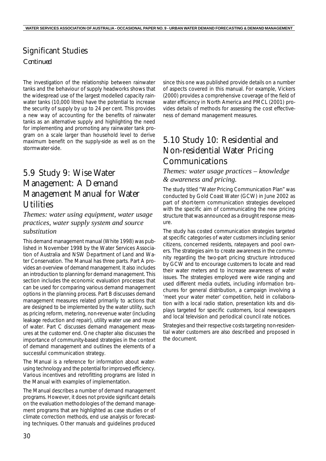The investigation of the relationship between rainwater tanks and the behaviour of supply headworks shows that the widespread use of the largest modelled capacity rainwater tanks (10,000 litres) have the potential to increase the security of supply by up to 24 per cent. This provides a new way of accounting for the benefits of rainwater tanks as an alternative supply and highlighting the need for implementing and promoting any rainwater tank program on a scale larger than household level to derive maximum benefit on the supply-side as well as on the stormwater-side.

# 5.9 Study 9: Wise Water Management: A Demand Management Manual for Water **Utilities**

#### *Themes: water using equipment, water usage practices, water supply system and source substitution*

This demand management manual (White 1998) was published in November 1998 by the Water Services Association of Australia and NSW Department of Land and Water Conservation. The Manual has three parts. Part A provides an overview of demand management. It also includes an introduction to planning for demand management. This section includes the economic evaluation processes that can be used for comparing various demand management options in the planning process. Part B discusses demand management measures related primarily to actions that are designed to be implemented by the water utility, such as pricing reform, metering, non-revenue water (including leakage reduction and repair), utility water use and reuse of water. Part C discusses demand management measures at the customer end. One chapter also discusses the importance of community-based strategies in the context of demand management and outlines the elements of a successful communication strategy.

The Manual is a reference for information about waterusing technology and the potential for improved efficiency. Various incentives and retrofitting programs are listed in the Manual with examples of implementation.

The Manual describes a number of demand management programs. However, it does not provide significant details on the evaluation methodologies of the demand management programs that are highlighted as case studies or of climate correction methods, end use analysis or forecasting techniques. Other manuals and guidelines produced

since this one was published provide details on a number of aspects covered in this manual. For example, Vickers (2000) provides a comprehensive coverage of the field of water efficiency in North America and PMCL (2001) provides details of methods for assessing the cost effectiveness of demand management measures.

# 5.10 Study 10: Residential and Non-residential Water Pricing Communications

*Themes: water usage practices – knowledge & awareness and pricing.*

The study titled "Water Pricing Communication Plan" was conducted by Gold Coast Water (GCW) in June 2002 as part of short-term communication strategies developed with the specific aim of communicating the new pricing structure that was announced as a drought response measure.

The study has costed communication strategies targeted at specific categories of water customers including senior citizens, concerned residents, ratepayers and pool owners. The strategies aim to create awareness in the community regarding the two-part pricing structure introduced by GCW and to encourage customers to locate and read their water meters and to increase awareness of water issues. The strategies employed were wide ranging and used different media outlets, including information brochures for general distribution, a campaign involving a 'meet your water meter' competition, held in collaboration with a local radio station, presentation kits and displays targeted for specific customers, local newspapers and local television and periodical council rate notices.

Strategies and their respective costs targeting non-residential water customers are also described and proposed in the document.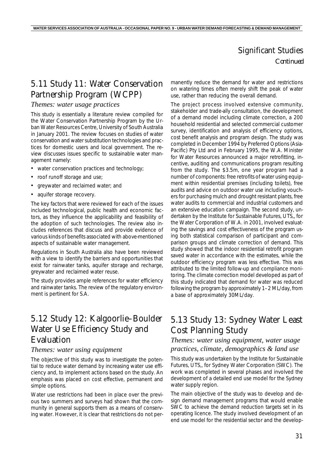# 5.11 Study 11: Water Conservation Partnership Program (WCPP)

#### *Themes: water usage practices*

This study is essentially a literature review compiled for the Water Conservation Partnership Program by the Urban Water Resources Centre, University of South Australia in January 2001. The review focuses on studies of water conservation and water substitution technologies and practices for domestic users and local government. The review discusses issues specific to sustainable water management namely:

- water conservation practices and technology;
- roof runoff storage and use:
- greywater and reclaimed water; and
- aquifer storage recovery.

The key factors that were reviewed for each of the issues included technological, public health and economic factors, as they influence the applicability and feasibility of the adoption of such technologies. The review also includes references that discuss and provide evidence of various kinds of benefits associated with above-mentioned aspects of sustainable water management.

Regulations in South Australia also have been reviewed with a view to identify the barriers and opportunities that exist for rainwater tanks, aquifer storage and recharge, greywater and reclaimed water reuse.

The study provides ample references for water efficiency and rainwater tanks. The review of the regulatory environment is pertinent for S.A.

# 5.12 Study 12: Kalgoorlie–Boulder Water Use Efficiency Study and Evaluation

#### *Themes: water using equipment*

The objective of this study was to investigate the potential to reduce water demand by increasing water use efficiency and, to implement actions based on the study. An emphasis was placed on cost effective, permanent and simple options.

Water use restrictions had been in place over the previous two summers and surveys had shown that the community in general supports them as a means of conserving water. However, it is clear that restrictions do not permanently reduce the demand for water and restrictions on watering times often merely shift the peak of water use, rather than reducing the overall demand.

The project process involved extensive community, stakeholder and trade-ally consultation, the development of a demand model including climate correction, a 200 household residential and selected commercial customer survey, identification and analysis of efficiency options, cost benefit analysis and program design. The study was completed in December 1994 by Preferred Options (Asia-Pacific) Pty Ltd and in February 1995, the W.A. Minister for Water Resources announced a major retrofitting, incentive, auditing and communications program resulting from the study. The \$3.5m, one year program had a number of components: free retrofits of water using equipment within residential premises (including toilets), free audits and advice on outdoor water use including vouchers for purchasing mulch and drought resistant plants, free water audits to commercial and industrial customers and an extensive education campaign. The second study, undertaken by the Institute for Sustainable Futures, UTS,, for the Water Corporation of W.A. in 2001, involved evaluating the savings and cost effectiveness of the program using both statistical comparison of participant and comparison groups and climate correction of demand. This study showed that the indoor residential retrofit program saved water in accordance with the estimates, while the outdoor efficiency program was less effective. This was attributed to the limited follow-up and compliance monitoring. The climate correction model developed as part of this study indicated that demand for water was reduced following the program by approximately 1–2 ML/day, from a base of approximately 30ML/day.

# 5.13 Study 13: Sydney Water Least Cost Planning Study

#### *Themes: water using equipment, water usage practices, climate, demographics & land use*

This study was undertaken by the Institute for Sustainable Futures, UTS,, for Sydney Water Corporation (SWC). The work was completed in several phases and involved the development of a detailed end use model for the Sydney water supply region.

The main objective of the study was to develop and design demand management programs that would enable SWC to achieve the demand reduction targets set in its operating licence. The study involved development of an end use model for the residential sector and the develop-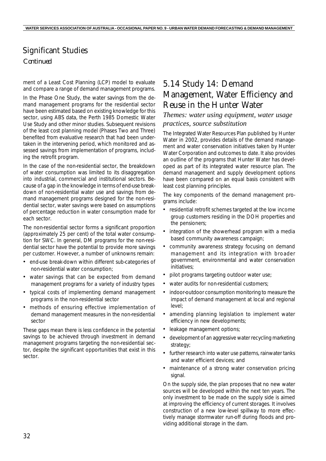ment of a Least Cost Planning (LCP) model to evaluate and compare a range of demand management programs.

In the Phase One Study, the water savings from the demand management programs for the residential sector have been estimated based on existing knowledge for this sector, using ABS data, the Perth 1985 Domestic Water Use Study and other minor studies. Subsequent revisions of the least cost planning model (Phases Two and Three) benefited from evaluative research that had been undertaken in the intervening period, which monitored and assessed savings from implementation of programs, including the retrofit program.

In the case of the non-residential sector, the breakdown of water consumption was limited to its disaggregation into industrial, commercial and institutional sectors. Because of a gap in the knowledge in terms of end-use breakdown of non-residential water use and savings from demand management programs designed for the non-residential sector, water savings were based on assumptions of percentage reduction in water consumption made for each sector.

The non-residential sector forms a significant proportion (approximately 25 per cent) of the total water consumption for SWC. In general, DM programs for the non-residential sector have the potential to provide more savings per customer. However, a number of unknowns remain:

- end-use break-down within different sub-categories of non-residential water consumption;
- water savings that can be expected from demand management programs for a variety of industry types
- typical costs of implementing demand management programs in the non-residential sector
- methods of ensuring effective implementation of demand management measures in the non-residential sector

These gaps mean there is less confidence in the potential savings to be achieved through investment in demand management programs targeting the non-residential sector, despite the significant opportunities that exist in this sector.

## 5.14 Study 14: Demand Management, Water Efficiency and Reuse in the Hunter Water

#### *Themes: water using equipment, water usage practices, source substitution*

The *Integrated Water Resources Plan* published by Hunter Water in 2002, provides details of the demand management and water conservation initiatives taken by Hunter Water Corporation and outcomes to date. It also provides an outline of the programs that Hunter Water has developed as part of its integrated water resource plan. The demand management and supply development options have been compared on an equal basis consistent with least cost planning principles.

The key components of the demand management programs include:

- residential retrofit schemes targeted at the low income group customers residing in the DOH properties and the pensioners;
- integration of the showerhead program with a media based community awareness campaign;
- community awareness strategy focusing on demand management and its integration with broader government, environmental and water conservation initiatives;
- pilot programs targeting outdoor water use:
- water audits for non-residential customers;
- indoor-outdoor consumption monitoring to measure the impact of demand management at local and regional level;
- amending planning legislation to implement water efficiency in new developments;
- leakage management options;
- development of an aggressive water recycling marketing strategy;
- further research into water use patterns, rainwater tanks and water efficient devices; and
- maintenance of a strong water conservation pricing signal.

On the supply side, the plan proposes that no new water sources will be developed within the next ten years. The only investment to be made on the supply side is aimed at improving the efficiency of current storages. It involves construction of a new low-level spillway to more effectively manage stormwater run-off during floods and providing additional storage in the dam.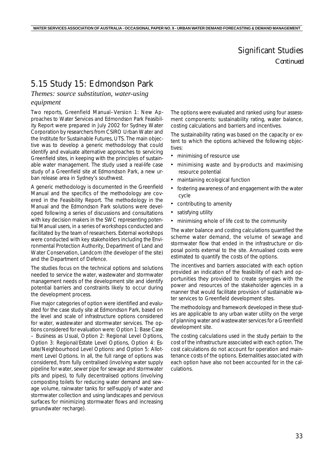# 5.15 Study 15: Edmondson Park

### *Themes: source substitution, water-using*

#### *equipment*

Two reports, *Greenfield Manual–Version 1: New Approaches to Water Services* and *Edmondson Park Feasibility Report* were prepared in July 2002 for Sydney Water Corporation by researchers from CSIRO Urban Water and the Institute for Sustainable Futures, UTS. The main objective was to develop a generic methodology that could identify and evaluate alternative approaches to servicing Greenfield sites, in keeping with the principles of sustainable water management. The study used a real-life case study of a Greenfield site at Edmondson Park, a new urban release area in Sydney's southwest.

A generic methodology is documented in the Greenfield Manual and the specifics of the methodology are covered in the Feasibility Report. The methodology in the Manual and the Edmondson Park solutions were developed following a series of discussions and consultations with key decision makers in the SWC representing potential Manual users, in a series of workshops conducted and facilitated by the team of researchers. External workshops were conducted with key stakeholders including the Environmental Protection Authority, Department of Land and Water Conservation, Landcom (the developer of the site) and the Department of Defence.

The studies focus on the technical options and solutions needed to service the water, wastewater and stormwater management needs of the development site and identify potential barriers and constraints likely to occur during the development process.

Five major categories of option were identified and evaluated for the case study site at Edmondson Park, based on the level and scale of infrastructure options considered for water, wastewater and stormwater services. The options considered for evaluation were: Option 1: Base Case – Business as Usual, Option 2: Regional Level Options, Option 3: Regional/Estate Level Options, Option 4: Estate/Neighbourhood Level Options: and Option 5: Allotment Level Options. In all, the full range of options was considered, from fully centralised (involving water supply pipeline for water, sewer pipe for sewage and stormwater pits and pipes), to fully decentralised options (involving composting toilets for reducing water demand and sewage volume, rainwater tanks for self-supply of water and stormwater collection and using landscapes and pervious surfaces for minimizing stormwater flows and increasing groundwater recharge).

The options were evaluated and ranked using four assessment components: sustainability rating, water balance, costing calculations and barriers and incentives.

The sustainability rating was based on the capacity or extent to which the options achieved the following objectives:

- minimising of resource use
- minimising waste and by-products and maximising resource potential
- maintaining ecological function
- fostering awareness of and engagement with the water cycle
- contributing to amenity
- satisfying utility
- minimising whole of life cost to the community

The water balance and costing calculations quantified the scheme water demand, the volume of sewage and stormwater flow that ended in the infrastructure or disposal points external to the site. Annualised costs were estimated to quantify the costs of the options.

The incentives and barriers associated with each option provided an indication of the feasibility of each and opportunities they provided to create synergies with the power and resources of the stakeholder agencies in a manner that would facilitate provision of sustainable water services to Greenfield development sites.

The methodology and framework developed in these studies are applicable to any urban water utility on the verge of planning water and wastewater services for a Greenfield development site.

The costing calculations used in the study pertain to the cost of the infrastructure associated with each option. The cost calculations do not account for operation and maintenance costs of the options. Externalities associated with each option have also not been accounted for in the calculations.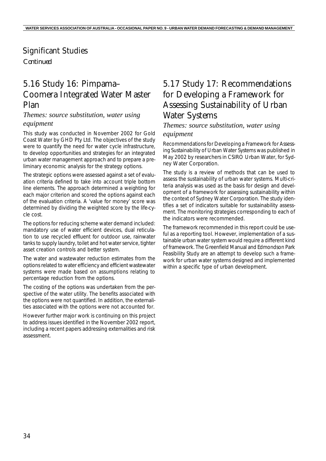### Significant Studies

*Continued*

# 5.16 Study 16: Pimpama– Coomera Integrated Water Master Plan

#### *Themes: source substitution, water using equipment*

This study was conducted in November 2002 for Gold Coast Water by GHD Pty Ltd. The objectives of the study were to quantify the need for water cycle infrastructure, to develop opportunities and strategies for an integrated urban water management approach and to prepare a preliminary economic analysis for the strategy options.

The strategic options were assessed against a set of evaluation criteria defined to take into account triple bottom line elements. The approach determined a weighting for each major criterion and scored the options against each of the evaluation criteria. A 'value for money' score was determined by dividing the weighted score by the life-cycle cost.

The options for reducing scheme water demand included: mandatory use of water efficient devices, dual reticulation to use recycled effluent for outdoor use, rainwater tanks to supply laundry, toilet and hot water service, tighter asset creation controls and better system.

The water and wastewater reduction estimates from the options related to water efficiency and efficient wastewater systems were made based on assumptions relating to percentage reduction from the options.

The costing of the options was undertaken from the perspective of the water utility. The benefits associated with the options were not quantified. In addition, the externalities associated with the options were not accounted for.

However further major work is continuing on this project to address issues identified in the November 2002 report, including a recent papers addressing externalities and risk assessment.

# 5.17 Study 17: Recommendations for Developing a Framework for Assessing Sustainability of Urban Water Systems

### *Themes: source substitution, water using*

#### *equipment*

*Recommendations for Developing a Framework for Assessing Sustainability of Urban Water Systems* was published in May 2002 by researchers in CSIRO Urban Water, for Sydney Water Corporation.

The study is a review of methods that can be used to assess the sustainability of urban water systems. Multi-criteria analysis was used as the basis for design and development of a framework for assessing sustainability within the context of Sydney Water Corporation. The study identifies a set of indicators suitable for sustainability assessment. The monitoring strategies corresponding to each of the indicators were recommended.

The framework recommended in this report could be useful as a reporting tool. However, implementation of a sustainable urban water system would require a different kind of framework. The *Greenfield Manual* and *Edmondson Park Feasibility Study* are an attempt to develop such a framework for urban water systems designed and implemented within a specific type of urban development.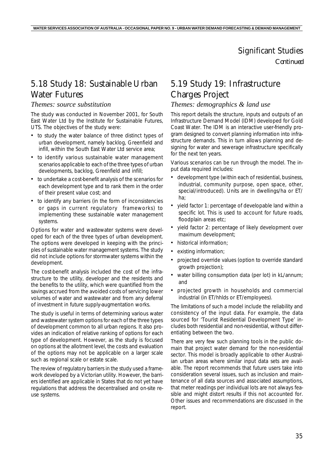## 5.18 Study 18: Sustainable Urban Water Futures

#### *Themes: source substitution*

The study was conducted in November 2001, for South East Water Ltd by the Institute for Sustainable Futures, UTS. The objectives of the study were:

- to study the water balance of three distinct types of urban development, namely backlog, Greenfield and infill, within the South East Water Ltd service area;
- to identify various sustainable water management scenarios applicable to each of the three types of urban developments, backlog, Greenfield and infill;
- to undertake a cost-benefit analysis of the scenarios for each development type and to rank them in the order of their present value cost; and
- to identify any barriers (in the form of inconsistencies or gaps in current regulatory frameworks) to implementing these sustainable water management systems.

Options for water and wastewater systems were developed for each of the three types of urban development. The options were developed in keeping with the principles of sustainable water management systems. The study did not include options for stormwater systems within the development.

The cost-benefit analysis included the cost of the infrastructure to the utility, developer and the residents and the benefits to the utility, which were quantified from the savings accrued from the avoided costs of servicing lower volumes of water and wastewater and from any deferral of investment in future supply-augmentation works.

The study is useful in terms of determining various water and wastewater system options for each of the three types of development common to all urban regions. It also provides an indication of relative ranking of options for each type of development. However, as the study is focused on options at the allotment level, the costs and evaluation of the options may not be applicable on a larger scale such as regional scale or estate scale.

The review of regulatory barriers in the study used a framework developed by a Victorian utility. However, the barriers identified are applicable in States that do not yet have regulations that address the decentralised and on-site reuse systems.

# 5.19 Study 19: Infrastructure Charges Project

#### *Themes: demographics & land use*

This report details the structure, inputs and outputs of an Infrastructure Demand Model (IDM) developed for Gold Coast Water. The IDM is an interactive user-friendly program designed to convert planning information into infrastructure demands. This in turn allows planning and designing for water and sewerage infrastructure specifically for the next ten years.

Various scenarios can be run through the model. The input data required includes:

- development type (within each of residential, business, industrial, community purpose, open space, other, special/introduced). Units are in dwellings/ha or ET/ ha;
- yield factor 1: percentage of developable land within a specific lot. This is used to account for future roads, floodplain areas etc;
- yield factor 2: percentage of likely development over maximum development;
- historical information;
- existing information;
- projected override values (option to override standard growth projection);
- water billing consumption data (per lot) in kL/annum; and
- projected growth in households and commercial industrial (in ET/hhlds or ET/employees).

The limitations of such a model include the reliability and consistency of the input data. For example, the data sourced for 'Tourist Residential Development Type' includes both residential and non-residential, without differentiating between the two.

There are very few such planning tools in the public domain that project water demand for the non-residential sector. This model is broadly applicable to other Australian urban areas where similar input data sets are available. The report recommends that future users take into consideration several issues, such as inclusion and maintenance of all data sources and associated assumptions, that meter readings per individual lots are not always feasible and might distort results if this not accounted for. Other issues and recommendations are discussed in the report.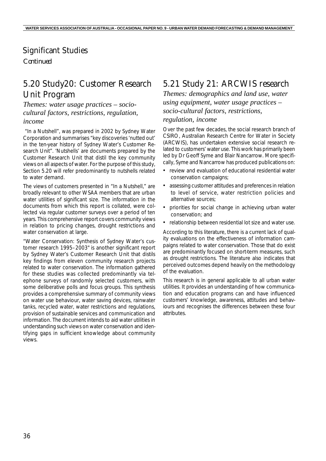### Significant Studies

*Continued*

# 5.20 Study20: Customer Research Unit Program

*Themes: water usage practices – sociocultural factors, restrictions, regulation, income*

 "In a Nutshell", was prepared in 2002 by Sydney Water Corporation and summarises "key discoveries 'nutted out' in the ten-year history of Sydney Water's Customer Research Unit". 'Nutshells' are documents prepared by the Customer Research Unit that distil the key community views on all aspects of water. For the purpose of this study, *Section 5.20* will refer predominantly to nutshells related to water demand.

The views of customers presented in "In a Nutshell," are broadly relevant to other WSAA members that are urban water utilities of significant size. The information in the documents from which this report is collated, were collected via regular customer surveys over a period of ten years. This comprehensive report covers community views in relation to pricing changes, drought restrictions and water conservation at large.

"Water Conservation: Synthesis of Sydney Water's customer research 1995–2003" is another significant report by Sydney Water's Customer Research Unit that distils key findings from eleven community research projects related to water conservation. The information gathered for these studies was collected predominantly via telephone surveys of randomly selected customers, with some deliberative polls and focus groups. This synthesis provides a comprehensive summary of community views on water use behaviour, water saving devices, rainwater tanks, recycled water, water restrictions and regulations, provision of sustainable services and communication and information. The document intends to aid water utilities in understanding such views on water conservation and identifying gaps in sufficient knowledge about community views.

# 5.21 Study 21: ARCWIS research

*Themes: demographics and land use, water using equipment, water usage practices – socio-cultural factors, restrictions, regulation, income*

Over the past few decades, the social research branch of CSIRO, Australian Research Centre for Water in Society (ARCWIS), has undertaken extensive social research related to customers' water use. This work has primarily been led by Dr Geoff Syme and Blair Nancarrow. More specifically, Syme and Nancarrow has produced publications on:

- review and evaluation of educational residential water conservation campaigns;
- assessing customer attitudes and preferences in relation to level of service, water restriction policies and alternative sources;
- priorities for social change in achieving urban water conservation; and
- relationship between residential lot size and water use.

According to this literature, there is a current lack of quality evaluations on the effectiveness of information campaigns related to water conservation. Those that do exist are predominantly focused on short-term measures, such as drought restrictions. The literature also indicates that perceived outcomes depend heavily on the methodology of the evaluation.

This research is in general applicable to all urban water utilities. It provides an understanding of how communication and education programs can and have influenced customers' knowledge, awareness, attitudes and behaviours and recognises the differences between these four attributes.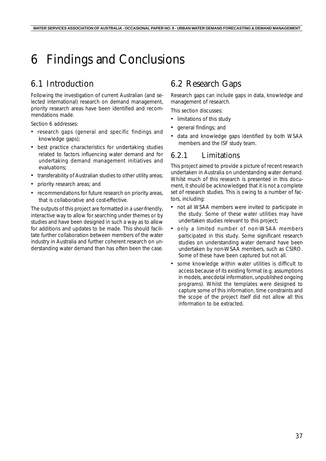# 6 Findings and Conclusions

# 6.1 Introduction

Following the investigation of current Australian (and selected international) research on demand management, priority research areas have been identified and recommendations made.

*Section 6* addresses:

- research gaps (general and specific findings and knowledge gaps);
- best practice characteristics for undertaking studies related to factors influencing water demand and for undertaking demand management initiatives and evaluations;
- transferability of Australian studies to other utility areas;
- priority research areas; and
- recommendations for future research on priority areas, that is collaborative and cost-effective.

The outputs of this project are formatted in a user-friendly, interactive way to allow for searching under themes or by studies and have been designed in such a way as to allow for additions and updates to be made. This should facilitate further collaboration between members of the water industry in Australia and further coherent research on understanding water demand than has often been the case.

# 6.2 Research Gaps

Research gaps can include gaps in data, knowledge and management of research.

This section discusses:

- limitations of this study
- general findings; and
- data and knowledge gaps identified by both WSAA members and the ISF study team.

#### 6.2.1 Limitations

This project aimed to provide a picture of recent research undertaken in Australia on understanding water demand. Whilst much of this research is presented in this document, it should be acknowledged that it is not a complete set of research studies. This is owing to a number of factors, including:

- not all WSAA members were invited to participate in the study. Some of these water utilities may have undertaken studies relevant to this project;
- only a limited number of non-WSAA members participated in this study. Some significant research studies on understanding water demand have been undertaken by non-WSAA members, such as CSIRO. Some of these have been captured but not all.
- some knowledge within water utilities is difficult to access because of its existing format (e.g. assumptions in models, anecdotal information, unpublished ongoing programs). Whilst the templates were designed to capture some of this information, time constraints and the scope of the project itself did not allow all this information to be extracted.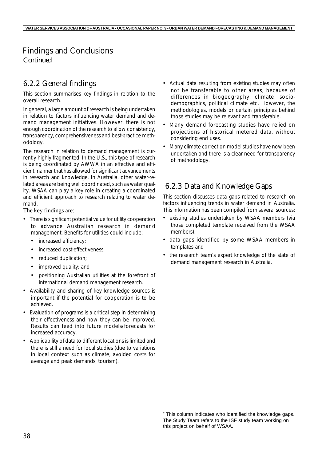### Findings and Conclusions

*Continued*

### 6.2.2 General findings

This section summarises key findings in relation to the overall research.

In general, a large amount of research is being undertaken in relation to factors influencing water demand and demand management initiatives. However, there is not enough coordination of the research to allow consistency, transparency, comprehensiveness and best-practice methodology.

The research in relation to demand management is currently highly fragmented. In the U.S., this type of research is being coordinated by AWWA in an effective and efficient manner that has allowed for significant advancements in research and knowledge. In Australia, other water-related areas are being well coordinated, such as water quality. WSAA can play a key role in creating a coordinated and efficient approach to research relating to water demand.

The key findings are:

- There is significant potential value for utility cooperation to advance Australian research in demand management. Benefits for utilities could include:
	- increased efficiency;
	- increased cost-effectiveness;
	- reduced duplication;
	- improved quality; and
	- positioning Australian utilities at the forefront of international demand management research.
- Availability and sharing of key knowledge sources is important if the potential for cooperation is to be achieved.
- Evaluation of programs is a critical step in determining their effectiveness and how they can be improved. Results can feed into future models/forecasts for increased accuracy.
- Applicability of data to different locations is limited and there is still a need for local studies (due to variations in local context such as climate, avoided costs for average and peak demands, tourism).
- Actual data resulting from existing studies may often not be transferable to other areas, because of differences in biogeography, climate, sociodemographics, political climate etc. However, the methodologies, models or certain principles behind those studies may be relevant and transferable.
- Many demand forecasting studies have relied on projections of historical metered data, without considering end uses.
- Many climate correction model studies have now been undertaken and there is a clear need for transparency of methodology.

### 6.2.3 Data and Knowledge Gaps

This section discusses data gaps related to research on factors influencing trends in water demand in Australia. This information has been compiled from several sources:

- existing studies undertaken by WSAA members (via those completed template received from the WSAA members);
- data gaps identified by some WSAA members in templates and
- the research team's expert knowledge of the state of demand management research in Australia.

<sup>&</sup>lt;sup>7</sup> This column indicates who identified the knowledge gaps. The Study Team refers to the ISF study team working on this project on behalf of WSAA.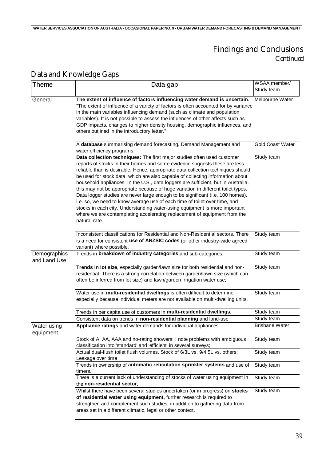### Findings and Conclusions *Continued*

| <b>Theme</b>                 | Data gap                                                                                                                                                                                                                                                                                                                                                                                                                                                                                                                                                                                                                                                                                                                                                                                                                                         | WSAA member/<br>Study team |
|------------------------------|--------------------------------------------------------------------------------------------------------------------------------------------------------------------------------------------------------------------------------------------------------------------------------------------------------------------------------------------------------------------------------------------------------------------------------------------------------------------------------------------------------------------------------------------------------------------------------------------------------------------------------------------------------------------------------------------------------------------------------------------------------------------------------------------------------------------------------------------------|----------------------------|
| General                      | The extent of influence of factors influencing water demand is uncertain.<br>"The extent of influence of a variety of factors is often accounted for by variance<br>in the main variables influencing demand (such as climate and population<br>variables). It is not possible to assess the influences of other affects such as<br>GDP impacts, changes to higher density housing, demographic influences, and<br>others outlined in the introductory letter."                                                                                                                                                                                                                                                                                                                                                                                  | Melbourne Water            |
|                              | A database summarising demand forecasting, Demand Management and<br>water efficiency programs;                                                                                                                                                                                                                                                                                                                                                                                                                                                                                                                                                                                                                                                                                                                                                   | <b>Gold Coast Water</b>    |
|                              | Data collection techniques: The first major studies often used customer<br>reports of stocks in their homes and some evidence suggests these are less<br>reliable than is desirable. Hence, appropriate data collection techniques should<br>be used for stock data, which are also capable of collecting information about<br>household appliances. In the U.S., data loggers are sufficient, but in Australia,<br>this may not be appropriate because of huge variation in different toilet types.<br>Data logger studies are never large enough to be significant (i.e. 100 homes).<br>i.e. so, we need to know average use of each time of toilet over time, and<br>stocks in each city. Understanding water-using equipment is more important<br>where we are contemplating accelerating replacement of equipment from the<br>natural rate. | Study team                 |
|                              | Inconsistent classifications for Residential and Non-Residential sectors. There<br>is a need for consistent use of ANZSIC codes (or other industry-wide agreed<br>variant) where possible.                                                                                                                                                                                                                                                                                                                                                                                                                                                                                                                                                                                                                                                       | Study team                 |
| Demographics<br>and Land Use | Trends in breakdown of industry categories and sub-categories.                                                                                                                                                                                                                                                                                                                                                                                                                                                                                                                                                                                                                                                                                                                                                                                   | Study team                 |
|                              | Trends in lot size, especially garden/lawn size for both residential and non-<br>residential. There is a strong correlation between garden/lawn size (which can<br>often be inferred from lot size) and lawn/garden irrigation water use;                                                                                                                                                                                                                                                                                                                                                                                                                                                                                                                                                                                                        | Study team                 |
|                              | Water use in multi-residential dwellings is often difficult to determine,<br>especially because individual meters are not available on multi-dwelling units.                                                                                                                                                                                                                                                                                                                                                                                                                                                                                                                                                                                                                                                                                     | Study team                 |
|                              | Trends in per capita use of customers in multi-residential dwellings.                                                                                                                                                                                                                                                                                                                                                                                                                                                                                                                                                                                                                                                                                                                                                                            | Study team                 |
|                              | Consistent data on trends in non-residential planning and land-use                                                                                                                                                                                                                                                                                                                                                                                                                                                                                                                                                                                                                                                                                                                                                                               | Study team                 |
| Water using<br>equipment     | Appliance ratings and water demands for individual appliances                                                                                                                                                                                                                                                                                                                                                                                                                                                                                                                                                                                                                                                                                                                                                                                    | <b>Brisbane Water</b>      |
|                              | Stock of A, AA, AAA and no-rating showers: : note problems with ambiguous<br>classification into 'standard' and 'efficient' in several surveys;                                                                                                                                                                                                                                                                                                                                                                                                                                                                                                                                                                                                                                                                                                  | Study team                 |
|                              | Actual dual-flush toilet flush volumes, Stock of 6/3L vs. 9/4.5L vs. others;<br>Leakage over time                                                                                                                                                                                                                                                                                                                                                                                                                                                                                                                                                                                                                                                                                                                                                | Study team                 |
|                              | Trends in ownership of automatic reticulation sprinkler systems and use of<br>timers.                                                                                                                                                                                                                                                                                                                                                                                                                                                                                                                                                                                                                                                                                                                                                            | Study team                 |
|                              | There is a current lack of understanding of stocks of water using equipment in<br>the non-residential sector.                                                                                                                                                                                                                                                                                                                                                                                                                                                                                                                                                                                                                                                                                                                                    | Study team                 |
|                              | Whilst there have been several studies undertaken (or in progress) on stocks<br>of residential water using equipment, further research is required to<br>strengthen and complement such studies, in addition to gathering data from<br>areas set in a different climatic, legal or other context.                                                                                                                                                                                                                                                                                                                                                                                                                                                                                                                                                | Study team                 |

# Data and Knowledge Gaps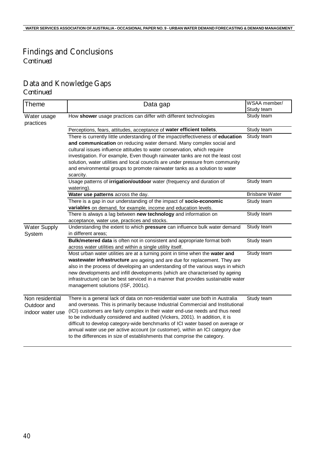# Findings and Conclusions

*Continued*

# Data and Knowledge Gaps

*Continued*

| <b>Theme</b>                                       | Data gap                                                                                                                                                                                                                                                                                                                                                                                                                                                                                                                                                                           | WSAA member/<br>Study team |
|----------------------------------------------------|------------------------------------------------------------------------------------------------------------------------------------------------------------------------------------------------------------------------------------------------------------------------------------------------------------------------------------------------------------------------------------------------------------------------------------------------------------------------------------------------------------------------------------------------------------------------------------|----------------------------|
| Water usage<br>practices                           | How shower usage practices can differ with different technologies                                                                                                                                                                                                                                                                                                                                                                                                                                                                                                                  | Study team                 |
|                                                    | Perceptions, fears, attitudes, acceptance of water efficient toilets.                                                                                                                                                                                                                                                                                                                                                                                                                                                                                                              | Study team                 |
|                                                    | There is currently little understanding of the impact/effectiveness of education                                                                                                                                                                                                                                                                                                                                                                                                                                                                                                   | Study team                 |
|                                                    | and communication on reducing water demand. Many complex social and                                                                                                                                                                                                                                                                                                                                                                                                                                                                                                                |                            |
|                                                    | cultural issues influence attitudes to water conservation, which require                                                                                                                                                                                                                                                                                                                                                                                                                                                                                                           |                            |
|                                                    | investigation. For example, Even though rainwater tanks are not the least cost                                                                                                                                                                                                                                                                                                                                                                                                                                                                                                     |                            |
|                                                    | solution, water utilities and local councils are under pressure from community                                                                                                                                                                                                                                                                                                                                                                                                                                                                                                     |                            |
|                                                    | and environmental groups to promote rainwater tanks as a solution to water                                                                                                                                                                                                                                                                                                                                                                                                                                                                                                         |                            |
|                                                    | scarcity.                                                                                                                                                                                                                                                                                                                                                                                                                                                                                                                                                                          |                            |
|                                                    | Usage patterns of irrigation/outdoor water (frequency and duration of<br>watering).                                                                                                                                                                                                                                                                                                                                                                                                                                                                                                | Study team                 |
|                                                    | Water use patterns across the day.                                                                                                                                                                                                                                                                                                                                                                                                                                                                                                                                                 | <b>Brisbane Water</b>      |
|                                                    | There is a gap in our understanding of the impact of socio-economic                                                                                                                                                                                                                                                                                                                                                                                                                                                                                                                | Study team                 |
|                                                    | variables on demand, for example, income and education levels.                                                                                                                                                                                                                                                                                                                                                                                                                                                                                                                     |                            |
|                                                    | There is always a lag between new technology and information on                                                                                                                                                                                                                                                                                                                                                                                                                                                                                                                    | Study team                 |
|                                                    | acceptance, water use, practices and stocks.                                                                                                                                                                                                                                                                                                                                                                                                                                                                                                                                       |                            |
| <b>Water Supply</b>                                | Understanding the extent to which pressure can influence bulk water demand                                                                                                                                                                                                                                                                                                                                                                                                                                                                                                         | Study team                 |
| System                                             | in different areas;                                                                                                                                                                                                                                                                                                                                                                                                                                                                                                                                                                |                            |
|                                                    | Bulk/metered data is often not in consistent and appropriate format both<br>across water utilities and within a single utility itself.                                                                                                                                                                                                                                                                                                                                                                                                                                             | Study team                 |
|                                                    | Most urban water utilities are at a turning point in time when the water and                                                                                                                                                                                                                                                                                                                                                                                                                                                                                                       | Study team                 |
|                                                    | wastewater infrastructure are ageing and are due for replacement. They are                                                                                                                                                                                                                                                                                                                                                                                                                                                                                                         |                            |
|                                                    | also in the process of developing an understanding of the various ways in which                                                                                                                                                                                                                                                                                                                                                                                                                                                                                                    |                            |
|                                                    | new developments and infill developments (which are characterised by ageing                                                                                                                                                                                                                                                                                                                                                                                                                                                                                                        |                            |
|                                                    | infrastructure) can be best serviced in a manner that provides sustainable water                                                                                                                                                                                                                                                                                                                                                                                                                                                                                                   |                            |
|                                                    | management solutions (ISF, 2001c).                                                                                                                                                                                                                                                                                                                                                                                                                                                                                                                                                 |                            |
|                                                    |                                                                                                                                                                                                                                                                                                                                                                                                                                                                                                                                                                                    |                            |
| Non residential<br>Outdoor and<br>indoor water use | There is a general lack of data on non-residential water use both in Australia<br>and overseas. This is primarily because Industrial Commercial and Institutional<br>(ICI) customers are fairly complex in their water end-use needs and thus need<br>to be individually considered and audited (Vickers, 2001). In addition, it is<br>difficult to develop category-wide benchmarks of ICI water based on average or<br>annual water use per active account (or customer), within an ICI category due<br>to the differences in size of establishments that comprise the category. | Study team                 |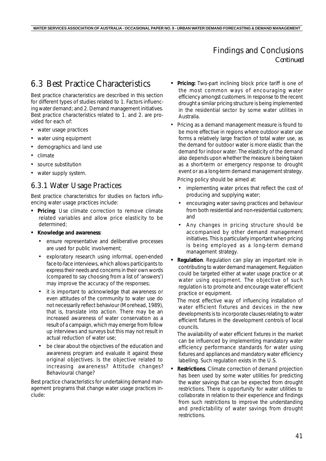#### Findings and Conclusions *Continued*

# 6.3 Best Practice Characteristics

Best practice characteristics are described in this section for different types of studies related to *1. Factors influencing water demand*; and *2. Demand management initiatives*. Best practice characteristics related to 1. and 2. are provided for each of:

- water usage practices
- water using equipment
- demographics and land use
- climate
- source substitution
- water supply system.

#### 6.3.1 Water Usage Practices

Best practice characteristics for studies on factors influencing water usage practices include:

- *• Pricing*: Use climate correction to remove climate related variables and allow price elasticity to be determined;
- *• Knowledge and awareness*:
	- ensure representative and deliberative processes are used for public involvement;
	- exploratory research using informal, open-ended face-to-face interviews, which allows participants to express their needs and concerns in their own words (compared to say choosing from a list of 'answers') may improve the accuracy of the responses;
	- it is important to acknowledge that awareness or even attitudes of the community to water use do not necessarily reflect *behaviour* (Morehead, 1989), that is, translate into action. There may be an increased awareness of water conservation as a result of a campaign, which may emerge from follow up interviews and surveys but this may not result in actual reduction of water use;
	- be clear about the objectives of the education and awareness program and evaluate it against these original objectives. Is the objective related to increasing awareness? Attitude changes? Behavioural change?

Best practice characteristics for undertaking demand management programs that change water usage practices include:

- *• Pricing:* Two-part inclining block price tariff is one of the most common ways of encouraging water efficiency amongst customers. In response to the recent drought a similar pricing structure is being implemented in the residential sector by some water utilities in Australia.
- Pricing as a demand management measure is found to be more effective in regions where outdoor water use forms a relatively large fraction of total water use, as the demand for outdoor water is more elastic than the demand for indoor water. The elasticity of the demand also depends upon whether the measure is being taken as a short-term or emergency response to drought event or as a long-term demand management strategy. Pricing policy should be aimed at:
	- implementing water prices that reflect the cost of producing and supplying water;
	- encouraging water saving practices and behaviour from both residential and non-residential customers; and
	- Any changes in pricing structure should be accompanied by other demand management initiatives. This is particularly important when pricing is being employed as a long-term demand management strategy.
- *• Regulation*. Regulation can play an important role in contributing to water demand management. Regulation could be targeted either at water usage practice or at water using equipment. The objective of such regulation is to promote and encourage water efficient practice or equipment.

The most effective way of influencing installation of water efficient fixtures and devices in the new developments is to incorporate clauses relating to water efficient fixtures in the development controls of local councils.

The availability of water efficient fixtures in the market can be influenced by implementing mandatory water efficiency performance standards for water using fixtures and appliances and mandatory water efficiency labelling. Such regulation exists in the U.S.

*• Restrictions*. Climate correction of demand projection has been used by some water utilities for predicting the water savings that can be expected from drought restrictions. There is opportunity for water utilities to collaborate in relation to their experience and findings from such restrictions to improve the understanding and predictability of water savings from drought restrictions.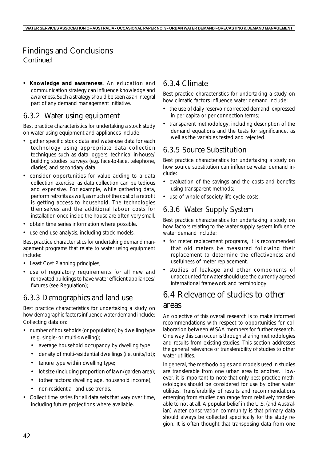### Findings and Conclusions

*Continued*

*• Knowledge and awareness*. An education and communication strategy can influence knowledge and awareness. Such a strategy should be seen as an integral part of any demand management initiative.

#### 6.3.2 Water using equipment

Best practice characteristics for undertaking a stock study on water using equipment and appliances include:

- gather specific stock data and water-use data for each technology using appropriate data collection techniques such as data loggers, technical in-house/ building studies, surveys (e.g. face-to-face, telephone, diaries) and secondary data.
- consider opportunities for value adding to a data collection exercise, as data collection can be tedious and expensive. For example, while gathering data, perform retrofits as well, as much of the cost of a retrofit is getting access to household. The technologies themselves and the additional labour costs for installation once inside the house are often very small.
- obtain time series information where possible.
- use end use analysis, including stock models.

Best practice characteristics for undertaking demand management programs that relate to water using equipment include:

- Least Cost Planning principles;
- use of regulatory requirements for all new and renovated buildings to have water efficient appliances/ fixtures (see Regulation);

#### 6.3.3 Demographics and land use

Best practice characteristics for undertaking a study on how demographic factors influence water demand include: Collecting data on:

- number of households (or population) by dwelling type (e.g. single- or multi-dwelling);
	- average household occupancy by dwelling type;
	- density of multi-residential dwellings (i.e. units/lot);
	- tenure type within dwelling type;
	- lot size (including proportion of lawn/garden area);
	- (other factors: dwelling age, household income);
	- non-residential land use trends.
- Collect time series for all data sets that vary over time, including future projections where available.

#### 6.3.4 Climate

Best practice characteristics for undertaking a study on how climatic factors influence water demand include:

- the use of daily reservoir corrected demand, expressed in per capita or per connection terms;
- transparent methodology, including description of the demand equations and the tests for significance, as well as the variables tested and rejected.

#### 6.3.5 Source Substitution

Best practice characteristics for undertaking a study on how source substitution can influence water demand include:

- evaluation of the savings and the costs and benefits using transparent methods;
- use of whole-of-society life cycle costs.

#### 6.3.6 Water Supply System

Best practice characteristics for undertaking a study on how factors relating to the water supply system influence water demand include:

- for meter replacement programs, it is recommended that old meters be measured following their replacement to determine the effectiveness and usefulness of meter replacement.
- studies of leakage and other components of unaccounted for water should use the currently agreed international framework and terminology.

# 6.4 Relevance of studies to other areas

An objective of this overall research is to make informed recommendations with respect to opportunities for collaboration between WSAA members for further research. One way this can occur is through sharing methodologies and results from existing studies. This section addresses the general relevance or transferability of studies to other water utilities.

In general, the methodologies and models used in studies are transferable from one urban area to another. However, it is important to note that only best practice methodologies should be considered for use by other water utilities. Transferability of results and recommendations emerging from studies can range from relatively transferable to not at all. A popular belief in the U.S. (and Australian) water conservation community is that primary data should always be collected specifically for the study region. It is often thought that transposing data from one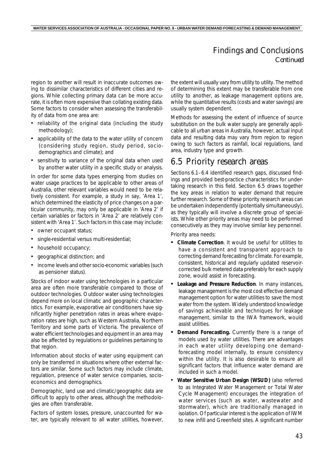#### Findings and Conclusions *Continued*

region to another will result in inaccurate outcomes owing to dissimilar characteristics of different cities and regions. While collecting primary data can be more accurate, it is often more expensive than collating existing data. Some factors to consider when assessing the transferability of data from one area are:

- reliability of the original data (including the study methodology);
- applicability of the data to the water utility of concern (considering study region, study period, sociodemographics and climate); and
- sensitivity to variance of the original data when used by another water utility in a specific study or analysis.

In order for some data types emerging from studies on water usage practices to be applicable to other areas of Australia, other relevant variables would need to be relatively consistent. For example, a study in say, 'Area 1', which determined the elasticity of price changes on a particular community, may only be applicable in 'Area 2' if certain variables or factors in 'Area 2' are relatively consistent with 'Area 1'. Such factors in this case may include:

- owner occupant status;
- single-residential versus multi-residential;
- household occupancy;
- geographical distinction; and
- income levels and other socio-economic variables (such as pensioner status).

Stocks of indoor water using technologies in a particular area are often more transferable compared to those of outdoor technologies. Outdoor water using technologies depend more on local climatic and geographic characteristics. For example, evaporative air conditioners have significantly higher penetration rates in areas where evaporation rates are high, such as Western Australia, Northern Territory and some parts of Victoria. The prevalence of water efficient technologies and equipment in an area may also be affected by regulations or guidelines pertaining to that region.

Information about stocks of water using equipment can only be transferred in situations where other external factors are similar. Some such factors may include climate, regulation, presence of water service companies, socioeconomics and demographics.

Demographic, land use and climatic/geographic data are difficult to apply to other areas, although the methodologies are often transferable.

Factors of system losses, pressure, unaccounted for water, are typically relevant to all water utilities, however, the extent will usually vary from utility to utility. The method of determining this extent may be transferable from one utility to another, as leakage management options are, while the quantitative results (costs and water savings) are usually system dependent.

Methods for assessing the extent of influence of source substitution on the bulk water supply are generally applicable to all urban areas in Australia, however, actual input data and resulting data may vary from region to region owing to such factors as rainfall, local regulations, land area, industry type and growth.

### 6.5 Priority research areas

*Sections 6.1–6.4* identified research gaps, discussed findings and provided best-practice characteristics for undertaking research in this field. *Section 6.5* draws together the key areas in relation to water demand that require further research. Some of these priority research areas can be undertaken independently (potentially simultaneously), as they typically will involve a discrete group of specialists. While other priority areas may need to be performed consecutively as they may involve similar key personnel.

Priority area needs:

- *• Climate Correction*. It would be useful for utilities to have a consistent and transparent approach to correcting demand forecasting for climate. For example, consistent, historical and regularly updated reservoircorrected bulk metered data preferably for each supply zone, would assist in forecasting.
- *• Leakage and Pressure Reduction*. In many instances, leakage management is the most cost effective demand management option for water utilities to save the most water from the system. Widely understood knowledge of savings achievable and techniques for leakage management, similar to the IWA framework, would assist utilities.
- *Demand Forecasting.* Currently there is a range of models used by water utilities. There are advantages in each water utility developing one demandforecasting model internally, to ensure consistency within the utility. It is also desirable to ensure all significant factors that influence water demand are included in such a model.
- *Water Sensitive Urban Design (WSUD)* (also referred to as Integrated Water Management or Total Water Cycle Management) encourages the integration of water services (such as water, wastewater and stormwater), which are traditionally managed in isolation. Of particular interest is the application of IWM to new infill and Greenfield sites. A significant number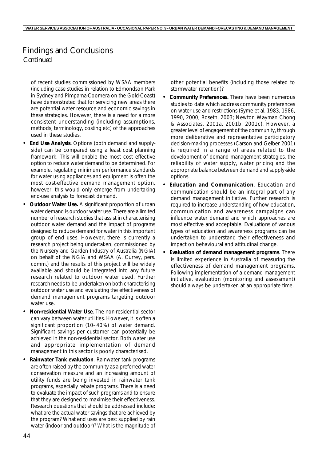#### Findings and Conclusions *Continued*

of recent studies commissioned by WSAA members (including case studies in relation to Edmondson Park in Sydney and Pimpama-Coomera on the Gold-Coast) have demonstrated that for servicing new areas there are potential water resource and economic savings in these strategies. However, there is a need for a more consistent understanding (including assumptions, methods, terminology, costing etc) of the approaches used in these studies.

- *• End Use Analysis.* Options (both demand and supplyside) can be compared using a least cost planning framework. This will enable the most cost effective option to reduce water demand to be determined. For example, regulating minimum performance standards for water using appliances and equipment is often the most cost-effective demand management option, however, this would only emerge from undertaking end-use analysis to forecast demand.
- *• Outdoor Water Use.* A significant proportion of urban water demand is outdoor water use. There are a limited number of research studies that assist in characterising outdoor water demand and the impact of programs designed to reduce demand for water in this important group of end uses. However, there is currently a research project being undertaken, commissioned by the Nursery and Garden Industry of Australia (NGIA) on behalf of the NGIA and WSAA (A. Currey, pers. comm.) and the results of this project will be widely available and should be integrated into any future research related to outdoor water used. Further research needs to be undertaken on both characterising outdoor water use and evaluating the effectiveness of demand management programs targeting outdoor water use.
- *• Non-residential Water Use*. The non-residential sector can vary between water utilities. However, it is often a significant proportion (10–40%) of water demand. Significant savings per customer can potentially be achieved in the non-residential sector. Both water use and appropriate implementation of demand management in this sector is poorly characterised.
- *• Rainwater Tank evaluation*. Rainwater tank programs are often raised by the community as a preferred water conservation measure and an increasing amount of utility funds are being invested in rainwater tank programs, especially rebate programs. There is a need to evaluate the impact of such programs and to ensure that they are designed to maximise their effectiveness. Research questions that should be addressed include: what are the actual water savings that are achieved by the program? What end uses are best supplied by rain water (indoor and outdoor)? What is the magnitude of

other potential benefits (including those related to stormwater retention)?

- *• Community Preferences.* There have been numerous studies to date which address community preferences on water use and restrictions (Syme et al, 1983, 1986, 1990, 2000; Roseth, 2003; Newton Wayman Chong & Associates, 2001a, 2001b, 2001c). However, a greater level of engagement of the community, through more deliberative and representative participatory decision-making processes (Carson and Gelber 2001) is required in a range of areas related to the development of demand management strategies, the reliability of water supply, water pricing and the appropriate balance between demand and supply-side options.
- *• Education and Communication*. Education and communication should be an integral part of any demand management initiative. Further research is required to increase understanding of how education, communication and awareness campaigns can influence water demand and which approaches are most effective and acceptable. Evaluations of various types of education and awareness programs can be undertaken to understand their effectiveness and impact on behavioural and attitudinal change.
- *• Evaluation of demand management programs*. There is limited experience in Australia of measuring the effectiveness of demand management programs. Following implementation of a demand management initiative, evaluation (monitoring and assessment) should always be undertaken at an appropriate time.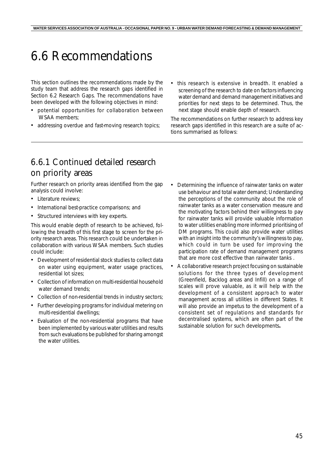# 6.6 Recommendations

This section outlines the recommendations made by the study team that address the research gaps identified in *Section 6.2 Research Gaps*. The recommendations have been developed with the following objectives in mind:

- potential opportunities for collaboration between WSAA members;
- addressing overdue and fast-moving research topics;
- this research is extensive in *breadth*. It enabled a screening of the research to date on factors influencing water demand and demand management initiatives and priorities for next steps to be determined. Thus, the next stage should enable *depth* of research.

The recommendations on further research to address key research gaps identified in this research are a suite of actions summarised as follows:

## 6.6.1 Continued detailed research on priority areas

Further research on priority areas identified from the gap analysis could involve:

- Literature reviews:
- International best-practice comparisons; and
- Structured interviews with key experts.

This would enable depth of research to be achieved, following the breadth of this first stage to screen for the priority research areas. This research could be undertaken in collaboration with various WSAA members. Such studies could include:

- Development of residential stock studies to collect data on water using equipment, water usage practices, residential lot sizes;
- Collection of information on multi-residential household water demand trends:
- Collection of non-residential trends in industry sectors;
- Further developing programs for individual metering on multi-residential dwellings;
- Evaluation of the non-residential programs that have been implemented by various water utilities and results from such evaluations be published for sharing amongst the water utilities.
- Determining the influence of rainwater tanks on water use behaviour and total water demand; Understanding the perceptions of the community about the role of rainwater tanks as a water conservation measure and the motivating factors behind their willingness to pay for rainwater tanks will provide valuable information to water utilities enabling more informed prioritising of DM programs. This could also provide water utilities with an insight into the community's willingness to pay, which could in turn be used for improving the participation rate of demand management programs that are more cost effective than rainwater tanks .
- A collaborative research project focusing on sustainable solutions for the three types of development (Greenfield, Backlog areas and Infill) on a range of scales will prove valuable, as it will help with the development of a consistent approach to water management across all utilities in different States. It will also provide an impetus to the development of a consistent set of regulations and standards for decentralised systems, which are often part of the sustainable solution for such developments**.**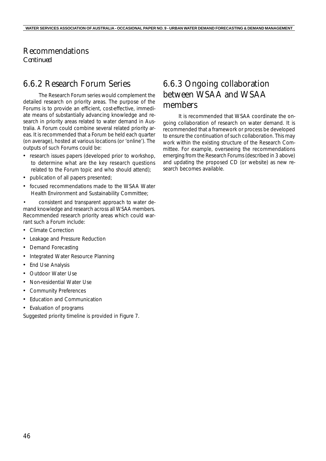#### Recommendations *Continued*

# 6.6.2 Research Forum Series

The Research Forum series would complement the detailed research on priority areas. The purpose of the Forums is to provide an efficient, cost-effective, immediate means of substantially advancing knowledge and research in priority areas related to water demand in Australia. A Forum could combine several related priority areas. It is recommended that a Forum be held each quarter (on average), hosted at various locations (or 'online'). The outputs of such Forums could be:

- research issues papers (developed prior to workshop, to determine what are the key research questions related to the Forum topic and who should attend);
- publication of all papers presented;
- focused recommendations made to the WSAA Water Health Environment and Sustainability Committee;

• consistent and transparent approach to water demand knowledge and research across all WSAA members. Recommended research priority areas which could warrant such a Forum include:

- Climate Correction
- Leakage and Pressure Reduction
- Demand Forecasting
- Integrated Water Resource Planning
- End Use Analysis
- Outdoor Water Use
- Non-residential Water Use
- Community Preferences
- Education and Communication
- Evaluation of programs

Suggested priority timeline is provided in *Figure 7*.

# 6.6.3 Ongoing collaboration between WSAA and WSAA members

It is recommended that WSAA coordinate the ongoing collaboration of research on water demand. It is recommended that a framework or process be developed to ensure the continuation of such collaboration. This may work within the existing structure of the Research Committee. For example, overseeing the recommendations emerging from the Research Forums (described in 3 above) and updating the proposed CD (or website) as new research becomes available.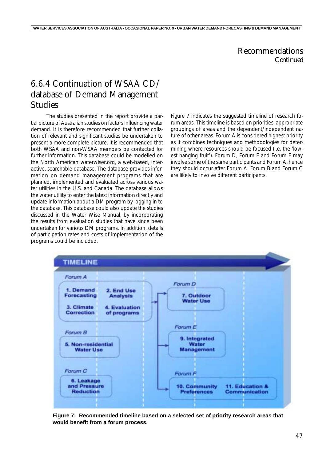#### Recommendations *Continued*

# 6.6.4 Continuation of WSAA CD/ database of Demand Management Studies

The studies presented in the report provide a partial picture of Australian studies on factors influencing water demand. It is therefore recommended that further collation of relevant and significant studies be undertaken to present a more complete picture. It is recommended that both WSAA and non-WSAA members be contacted for further information. This database could be modelled on the North American waterwiser.org, a web-based, interactive, searchable database. The database provides information on demand management programs that are planned, implemented and evaluated across various water utilities in the U.S. and Canada. The database allows the water utility to enter the latest information directly and update information about a DM program by logging in to the database. This database could also update the studies discussed in the Water Wise Manual, by incorporating the results from evaluation studies that have since been undertaken for various DM programs. In addition, details of participation rates and costs of implementation of the programs could be included.

*Figure 7* indicates the suggested timeline of research forum areas. This timeline is based on priorities, appropriate groupings of areas and the dependent/independent nature of other areas. Forum A is considered highest priority as it combines techniques and methodologies for determining where resources should be focused (i.e. the 'lowest hanging fruit'). Forum D, Forum E and Forum F may involve some of the same participants and Forum A, hence they should occur after Forum A. Forum B and Forum C are likely to involve different participants.



**Figure 7: Recommended timeline based on a selected set of priority research areas that would benefit from a forum process.**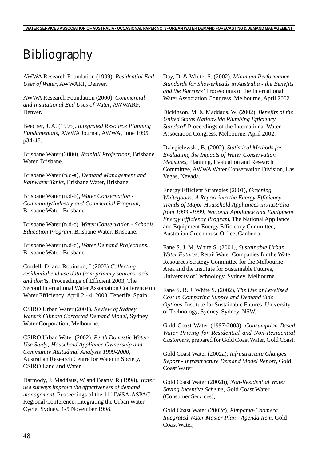# Bibliography

AWWA Research Foundation (1999), *Residential End Uses of Water*, AWWARF, Denver.

AWWA Research Foundation (2000), *Commercial and Institutional End Uses of Water*, AWWARF, Denver.

Beecher, J. A. (1995), *Integrated Resource Planning Fundamentals,* AWWA Journal, AWWA, June 1995, p34-48.

Brisbane Water (2000), *Rainfall Projections*, Brisbane Water, Brisbane.

Brisbane Water (n.d-a), *Demand Management and Rainwater Tanks*, Brisbane Water, Brisbane.

Brisbane Water (n.d-b), *Water Conservation - Community/Industry and Commercial Program*, Brisbane Water, Brisbane.

Brisbane Water (n.d-c), *Water Conservation - Schools Education Program*, Brisbane Water, Brisbane.

Brisbane Water (n.d-d), *Water Demand Projections*, Brisbane Water, Brisbane.

Cordell, D. and Robinson, J (2003) *Collecting residential end use data from primary sources: do's and don'ts.* Proceedings of Efficient 2003, The Second International Water Association Conference on Water Efficiency*,* April 2 - 4, 2003, Tenerife, Spain.

CSIRO Urban Water (2001), *Review of Sydney Water's Climate Corrected Demand Model*, Sydney Water Corporation, Melbourne.

CSIRO Urban Water (2002), *Perth Domestic Water-Use Study; Household Appliance Ownership and Community Attitudinal Analysis 1999-2000*, Australian Research Centre for Water in Society, CSIRO Land and Water,

Darmody, J, Maddaus, W and Beatty, R (1998), *Water use surveys improve the effectiveness of demand management,* Proceedings of the 11<sup>th</sup> IWSA-ASPAC Regional Conference, Integrating the Urban Water Cycle, Sydney, 1-5 November 1998.

Day, D. & White, S. (2002), *Minimum Performance Standards for Showerheads in Australia - the Benefits and the Barriers'* Proceedings of the International Water Association Congress, Melbourne, April 2002.

Dickinson, M. & Maddaus, W. (2002), *Benefits of the United States Nationwide Plumbing Efficiency Standard*' Proceedings of the International Water Association Congress, Melbourne, April 2002.

Dziegielewski, B. (2002), *Statistical Methods for Evaluating the Impacts of Water Conservation Measures*, Planning, Evaluation and Research Committee, AWWA Water Conservation Division, Las Vegas, Nevada.

Energy Efficient Strategies (2001), *Greening Whitegoods: A Report into the Energy Efficiency Trends of Major Household Appliances in Australia from 1993 -1999, National Appliance and Equipment Energy Efficiency Program*, The National Appliance and Equipment Energy Efficiency Committee, Australian Greenhouse Office, Canberra.

Fane S. J. M. White S. (2001), *Sustainable Urban Water Futures*, Retail Water Companies for the Water Resources Strategy Committee for the Melbourne Area and the Institute for Sustainable Futures, University of Technology, Sydney, Melbourne.

Fane S. R. J. White S. (2002), *The Use of Levelised Cost in Comparing Supply and Demand Side Options*, Institute for Sustainable Futures, University of Technology, Sydney, Sydney, NSW.

Gold Coast Water (1997-2003), *Consumption Based Water Pricing for Residential and Non-Residential Customers*, prepared for Gold Coast Water, Gold Coast.

Gold Coast Water (2002a), *Infrastructure Changes Report - Infrastructure Demand Model Report*, Gold Coast Water,

Gold Coast Water (2002b), *Non-Residential Water Saving Incentive Scheme*, Gold Coast Water (Consumer Services),

Gold Coast Water (2002c), *Pimpama-Coomera Integrated Water Master Plan - Agenda Item*, Gold Coast Water,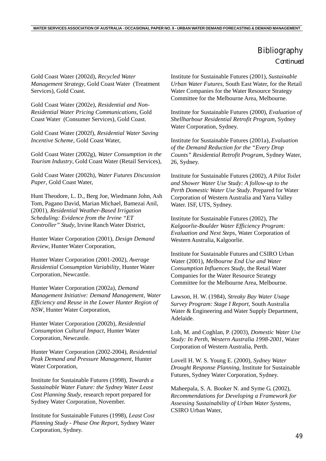Gold Coast Water (2002d), *Recycled Water Management Strategy*, Gold Coast Water (Treatment Services), Gold Coast.

Gold Coast Water (2002e), *Residential and Non-Residential Water Pricing Communications*, Gold Coast Water (Consumer Services), Gold Coast.

Gold Coast Water (2002f), *Residential Water Saving Incentive Scheme*, Gold Coast Water,

Gold Coast Water (2002g), *Water Consumption in the Tourism Industry*, Gold Coast Water (Retail Services),

Gold Coast Water (2002h), *Water Futures Discussion Paper*, Gold Coast Water,

Hunt Theodore, L. D., Berg Joe, Wiedmann John, Ash Tom, Pagano David, Marian Michael, Bamezai Anil, (2001), *Residential Weather-Based Irrigation Scheduling: Evidence from the Irvine "ET Controller" Study*, Irvine Ranch Water District,

Hunter Water Corporation (2001), *Design Demand Review*, Hunter Water Corporation,

Hunter Water Corporation (2001-2002), *Average Residential Consumption Variability*, Hunter Water Corporation, Newcastle.

Hunter Water Corporation (2002a), *Demand Management Initiative: Demand Management, Water Efficiency and Reuse in the Lower Hunter Region of NSW*, Hunter Water Corporation,

Hunter Water Corporation (2002b), *Residential Consumption Cultural Impact*, Hunter Water Corporation, Newcastle.

Hunter Water Corporation (2002-2004), *Residential Peak Demand and Pressure Management*, Hunter Water Corporation,

Institute for Sustainable Futures (1998), *Towards a Sustainable Water Future: the Sydney Water Least Cost Planning Study*, research report prepared for Sydney Water Corporation, November.

Institute for Sustainable Futures (1998), *Least Cost Planning Study - Phase One Report*, Sydney Water Corporation, Sydney.

Institute for Sustainable Futures (2001), *Sustainable Urban Water Futures*, South East Water, for the Retail Water Companies for the Water Resource Strategy Committee for the Melbourne Area, Melbourne.

Institute for Sustainable Futures (2000), *Evaluation of Shellharbour Residential Retrofit Program*, Sydney Water Corporation, Sydney.

Institute for Sustainable Futures (2001a), *Evaluation of the Demand Reduction for the "Every Drop Counts" Residential Retrofit Program*, Sydney Water, 26, Sydney.

Institute for Sustainable Futures (2002), *A Pilot Toilet and Shower Water Use Study: A follow-up to the Perth Domestic Water Use Study*. Prepared for Water Corporation of Western Australia and Yarra Valley Water. ISF, UTS, Sydney.

Institute for Sustainable Futures (2002), *The Kalgoorlie-Boulder Water Efficiency Program: Evaluation and Next Steps*, Water Corporation of Western Australia, Kalgoorlie.

Institute for Sustainable Futures and CSIRO Urban Water (2001), *Melbourne End Use and Water Consumption Influences Study*, the Retail Water Companies for the Water Resource Strategy Committee for the Melbourne Area, Melbourne.

Lawson, H. W. (1984), *Streaky Bay Water Usage Survey Program: Stage I Report*, South Australia Water & Engineering and Water Supply Department, Adelaide.

Loh, M. and Coghlan, P. (2003), *Domestic Water Use Study: In Perth, Western Australia 1998-2001*, Water Corporation of Western Australia, Perth.

Lovell H. W. S. Young E. (2000), *Sydney Water Drought Response Planning*, Institute for Sustainable Futures, Sydney Water Corporation, Sydney.

Maheepala, S. A. Booker N. and Syme G. (2002), *Recommendations for Developing a Framework for Assessing Sustainability of Urban Water Systems*, CSIRO Urban Water,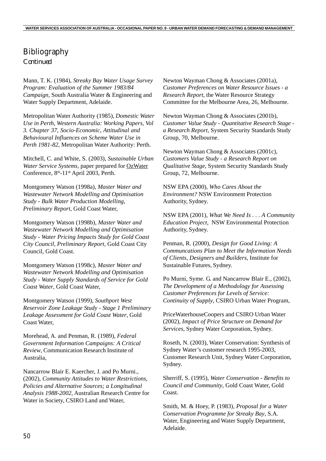Mann, T. K. (1984), *Streaky Bay Water Usage Survey Program: Evaluation of the Summer 1983/84 Campaign*, South Australia Water & Engineering and Water Supply Department, Adelaide.

Metropolitan Water Authority (1985), *Domestic Water Use in Perth, Western Australia: Working Papers, Vol 3. Chapter 37, Socio-Economic, Attitudinal and Behavioural Influences on Scheme Water Use in Perth 1981-82*, Metropolitan Water Authority: Perth.

Mitchell, C. and White, S. (2003), *Sustainable Urban Water Service Systems*, paper prepared for OzWater Conference, 8<sup>th</sup>-11<sup>th</sup> April 2003, Perth.

Montgomery Watson (1998a), *Master Water and Wastewater Network Modelling and Optimisation Study - Bulk Water Production Modelling, Preliminary Report*, Gold Coast Water,

Montgomery Watson (1998b), *Master Water and Wastewater Network Modelling and Optimisation Study - Water Pricing Impacts Study for Gold Coast City Council, Preliminary Report*, Gold Coast City Council, Gold Coast.

Montgomery Watson (1998c), *Master Water and Wastewater Network Modelling and Optimisation Study - Water Supply Standards of Service for Gold Coast Water*, Gold Coast Water,

Montgomery Watson (1999), *Southport West Reservoir Zone Leakage Study - Stage 1 Preliminary Leakage Assessment for Gold Coast Water*, Gold Coast Water,

Morehead, A. and Penman, R. (1989), *Federal Government Information Campaigns: A Critical Review*, Communication Research Institute of Australia,

Nancarrow Blair E. Kaercher, J. and Po Murni., (2002), *Community Attitudes to Water Restrictions, Policies and Alternative Sources; a Longitudinal Analysis 1988-2002*, Australian Research Centre for Water in Society, CSIRO Land and Water,

Newton Wayman Chong & Associates (2001a), *Customer Preferences on Water Resource Issues - a Research Report*, the Water Resource Strategy Committee for the Melbourne Area, 26, Melbourne.

Newton Wayman Chong & Associates (2001b), *Customer Value Study - Quantitative Research Stage a Research Report*, System Security Standards Study Group, 70, Melbourne.

Newton Wayman Chong & Associates (2001c), *Customers Value Study - a Research Report on Qualitative Stage*, System Security Standards Study Group, 72, Melbourne.

NSW EPA (2000), *Who Cares About the Environment?* NSW Environment Protection Authority, Sydney.

NSW EPA (2001), *What We Need Is . . . A Community Education Project*, NSW Environmental Protection Authority, Sydney.

Penman, R. (2000), *Design for Good Living: A Communcations Plan to Meet the Information Needs of Clients, Designers and Builders*, Institute for Sustainable Futures, Sydney.

Po Murni, Syme. G. and Nancarrow Blair E., (2002), *The Development of a Methodology for Assessing Customer Preferences for Levels of Service: Continuity of Supply*, CSIRO Urban Water Program,

PriceWaterhouseCoopers and CSIRO Urban Water (2002), *Impact of Price Structure on Demand for Services*, Sydney Water Corporation, Sydney.

Roseth, N. (2003), Water Conservation: Synthesis of Sydney Water's customer research 1995-2003, Customer Research Unit, Sydney Water Corporation, Sydney.

Sherriff, S. (1995), *Water Conservation - Benefits to Council and Community*, Gold Coast Water, Gold Coast.

Smith, M. & Hoey, P. (1983), *Proposal for a Water Conservation Programme for Streaky Bay*, S.A. Water, Engineering and Water Supply Department, Adelaide.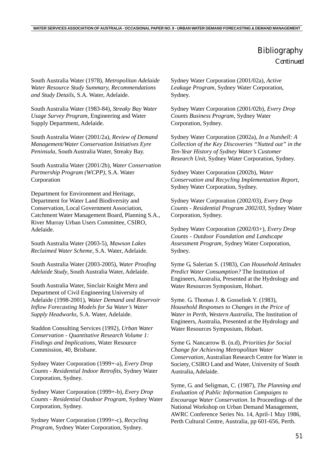South Australia Water (1978), *Metropolitan Adelaide Water Resource Study Summary, Recommendations and Study Details*, S.A. Water, Adelaide.

South Australia Water (1983-84), *Streaky Bay Water Usage Survey Program*, Engineering and Water Supply Department, Adelaide.

South Australia Water (2001/2a), *Review of Demand Management/Water Conservation Initiatives Eyre Peninsula*, South Australia Water, Streaky Bay.

South Australia Water (2001/2b), *Water Conservation Partnership Program (WCPP)*, S.A. Water Corporation

Department for Environment and Heritage, Department for Water Land Biodiversity and Conservation, Local Government Association, Catchment Water Management Board, Planning S.A., River Murray Urban Users Committee, CSIRO, Adelaide.

South Australia Water (2003-5), *Mawson Lakes Reclaimed Water Scheme*, S.A. Water, Adelaide.

South Australia Water (2003-2005), *Water Proofing Adelaide Study*, South Australia Water, Adelaide.

South Australia Water, Sinclair Knight Merz and Department of Civil Engineering University of Adelaide (1998-2001), *Water Demand and Reservoir Inflow Forecasting Models for Sa Water's Water Supply Headworks*, S.A. Water, Adelaide.

Staddon Consulting Services (1992), *Urban Water Conservation - Quantitative Research Volume 1: Findings and Implications*, Water Resource Commission, 40, Brisbane.

Sydney Water Corporation (1999+-a), *Every Drop Counts - Residential Indoor Retrofits*, Sydney Water Corporation, Sydney.

Sydney Water Corporation (1999+-b), *Every Drop Counts - Residential Outdoor Program*, Sydney Water Corporation, Sydney.

Sydney Water Corporation (1999+-c), *Recycling Program*, Sydney Water Corporation, Sydney.

Sydney Water Corporation (2001/02a), *Active Leakage Program*, Sydney Water Corporation, Sydney.

Sydney Water Corporation (2001/02b), *Every Drop Counts Business Program*, Sydney Water Corporation, Sydney.

Sydney Water Corporation (2002a), *In a Nutshell: A Collection of the Key Discoveries "Nutted out" in the Ten-Year History of Sydney Water's Customer Research Unit*, Sydney Water Corporation, Sydney.

Sydney Water Corporation (2002b), *Water Conservation and Recycling Implementation Report*, Sydney Water Corporation, Sydney.

Sydney Water Corporation (2002/03), *Every Drop Counts - Residential Program 2002/03*, Sydney Water Corporation, Sydney.

Sydney Water Corporation (2002/03+), *Every Drop Counts - Outdoor Foundation and Landscape Assessment Program*, Sydney Water Corporation, Sydney.

Syme G, Salerian S. (1983), *Can Household Attitudes Predict Water Consumption?* The Institution of Engineers, Australia, Presented at the Hydrology and Water Resources Symposium, Hobart.

Syme. G. Thomas J. & Gosselink Y. (1983), *Household Responses to Changes in the Price of Water in Perth, Western Australia*, The Institution of Engineers, Australia, Presented at the Hydrology and Water Resources Symposium, Hobart.

Syme G. Nancarrow B. (n.d), *Priorities for Social Change for Achieving Metropolitan Water Conservation*, Australian Research Centre for Water in Society, CSIRO Land and Water, University of South Australia, Adelaide.

Syme, G. and Seligman, C. (1987), *The Planning and Evaluation of Public Information Campaigns to Encourage Water Conservation*. In Proceedings of the National Workshop on Urban Demand Management, AWRC Conference Series No. 14, April-1 May 1986, Perth Cultural Centre, Australia, pp 601-656, Perth.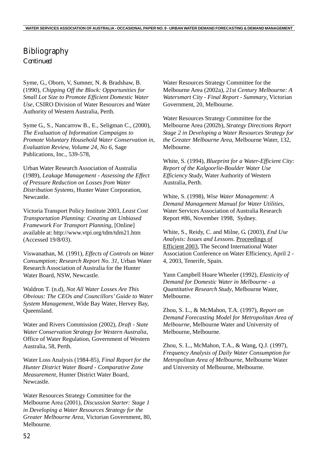Syme, G., Oborn, V, Sumner, N. & Bradshaw, B. (1990), *Chipping Off the Block: Opportunities for Small Lot Size to Promote Efficient Domestic Water Use*, CSIRO Division of Water Resources and Water Authority of Western Australia, Perth.

Syme G., S., Nancarrow B., E., Seligman C., (2000), *The Evaluation of Information Campaigns to Promote Voluntary Household Water Conservation in, Evaluation Review, Volume 24, No 6*, Sage Publications, Inc., 539-578,

Urban Water Research Association of Australia (1989), *Leakage Management - Assessing the Effect of Pressure Reduction on Losses from Water Distribution Systems*, Hunter Water Corporation, Newcastle.

Victoria Transport Policy Institute 2003, *Least Cost Transportation Planning: Creating an Unbiased Framework For Transport Planning*, [Online] available at: http://www.vtpi.org/tdm/tdm21.htm (Accessed 19/8/03).

Viswanathan, M. (1991), *Effects of Controls on Water Consumption; Research Report No. 31*, Urban Water Research Association of Australia for the Hunter Water Board, NSW, Newcastle.

Waldron T. (n.d), *Not All Water Losses Are This Obvious: The CEOs and Councillors' Guide to Water System Management*, Wide Bay Water, Hervey Bay, Queensland.

Water and Rivers Commission (2002), *Draft - State Water Conservation Strategy for Western Australia*, Office of Water Regulation, Government of Western Australia, 58, Perth.

Water Loss Analysis (1984-85), *Final Report for the Hunter District Water Board - Comparative Zone Measurement*, Hunter District Water Board, Newcastle.

Water Resources Strategy Committee for the Melbourne Area (2001), *Discussion Starter: Stage 1 in Developing a Water Resources Strategy for the Greater Melbourne Area*, Victorian Government, 80, Melbourne.

Water Resources Strategy Committee for the Melbourne Area (2002a), *21st Century Melbourne: A Watersmart City - Final Report - Summary*, Victorian Government, 20, Melbourne.

Water Resources Strategy Committee for the Melbourne Area (2002b), *Strategy Directions Report Stage 2 in Developing a Water Resources Strategy for the Greater Melbourne Area*, Melbourne Water, 132, Melbourne.

White, S. (1994), *Blueprint for a Water-Efficient City: Report of the Kalgoorlie-Boulder Water Use Efficiency Study*, Water Authority of Western Australia, Perth.

White, S. (1998), *Wise Water Management: A Demand Management Manual for Water Utilities*, Water Services Association of Australia Research Report #86, November 1998, Sydney.

White, S., Reidy, C. and Milne, G. (2003), *End Use Analysis: Issues and Lessons*. Proceedings of Efficient 2003, The Second International Water Association Conference on Water Efficiency, April 2 - 4, 2003, Tenerife, Spain.

Yann Campbell Hoare Wheeler (1992), *Elasticity of Demand for Domestic Water in Melbourne - a Quantitative Research Study*, Melbourne Water, Melbourne.

Zhou, S. L., & McMahon, T.A. (1997), *Report on Demand Forecasting Model for Metropolitan Area of Melbourne*, Melbourne Water and University of Melbourne, Melbourne.

Zhou, S. L., McMahon, T.A., & Wang, Q.J. (1997), *Frequency Analysis of Daily Water Consumption for Metropolitan Area of Melbourne*, Melbourne Water and University of Melbourne, Melbourne.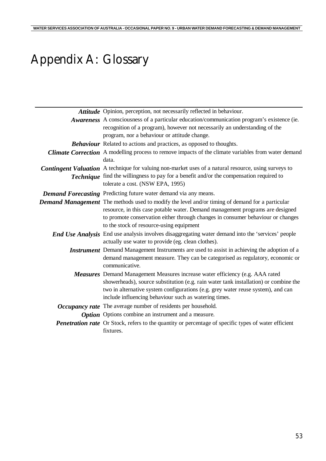# Appendix A: Glossary

| Attitude Opinion, perception, not necessarily reflected in behaviour.                                                                                                                                                                                                                                                     |
|---------------------------------------------------------------------------------------------------------------------------------------------------------------------------------------------------------------------------------------------------------------------------------------------------------------------------|
| Awareness A consciousness of a particular education/communication program's existence (ie.<br>recognition of a program), however not necessarily an understanding of the<br>program, nor a behaviour or attitude change.                                                                                                  |
| <b>Behaviour</b> Related to actions and practices, as opposed to thoughts.                                                                                                                                                                                                                                                |
| <b>Climate Correction</b> A modelling process to remove impacts of the climate variables from water demand<br>data.                                                                                                                                                                                                       |
| Contingent Valuation A technique for valuing non-market uses of a natural resource, using surveys to<br>Technique find the willingness to pay for a benefit and/or the compensation required to<br>tolerate a cost. (NSW EPA, 1995)                                                                                       |
| Demand Forecasting Predicting future water demand via any means.                                                                                                                                                                                                                                                          |
| Demand Management The methods used to modify the level and/or timing of demand for a particular<br>resource, in this case potable water. Demand management programs are designed<br>to promote conservation either through changes in consumer behaviour or changes<br>to the stock of resource-using equipment           |
| End Use Analysis End use analysis involves disaggregating water demand into the 'services' people<br>actually use water to provide (eg. clean clothes).                                                                                                                                                                   |
| <i>Instrument</i> Demand Management Instruments are used to assist in achieving the adoption of a<br>demand management measure. They can be categorised as regulatory, economic or<br>communicative.                                                                                                                      |
| <b>Measures</b> Demand Management Measures increase water efficiency (e.g. AAA rated<br>showerheads), source substitution (e.g. rain water tank installation) or combine the<br>two in alternative system configurations (e.g. grey water reuse system), and can<br>include influencing behaviour such as watering times. |
| Occupancy rate The average number of residents per household.                                                                                                                                                                                                                                                             |
| <b>Option</b> Options combine an instrument and a measure.                                                                                                                                                                                                                                                                |
| <b>Penetration rate</b> Or Stock, refers to the quantity or percentage of specific types of water efficient<br>fixtures.                                                                                                                                                                                                  |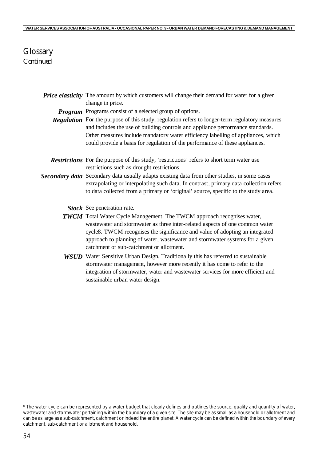### **Glossary** *Continued*

| <b>Price elasticity</b> The amount by which customers will change their demand for water for a given |
|------------------------------------------------------------------------------------------------------|
| change in price.                                                                                     |

*Program* Programs consist of a selected group of options.

- *Regulation* For the purpose of this study, regulation refers to longer-term regulatory measures and includes the use of building controls and appliance performance standards. Other measures include mandatory water efficiency labelling of appliances, which could provide a basis for regulation of the performance of these appliances.
- *Restrictions* For the purpose of this study, 'restrictions' refers to short term water use restrictions such as drought restrictions.
- *Secondary data* Secondary data usually adapts existing data from other studies, in some cases extrapolating or interpolating such data. In contrast, primary data collection refers to data collected from a primary or 'original' source, specific to the study area.

*Stock* See penetration rate.

- *TWCM* Total Water Cycle Management. The TWCM approach recognises water, wastewater and stormwater as three inter-related aspects of one common water cycle8. TWCM recognises the significance and value of adopting an integrated approach to planning of water, wastewater and stormwater systems for a given catchment or sub-catchment or allotment.
- *WSUD* Water Sensitive Urban Design. Traditionally this has referred to sustainable stormwater management, however more recently it has come to refer to the integration of stormwater, water and wastewater services for more efficient and sustainable urban water design.

<sup>&</sup>lt;sup>8</sup> The water cycle can be represented by a water budget that clearly defines and outlines the source, quality and quantity of water, wastewater and stormwater pertaining within the boundary of a given site. The site may be as small as a household or allotment and can be as large as a sub-catchment, catchment or indeed the entire planet. A water cycle can be defined within the boundary of every catchment, sub-catchment or allotment and household.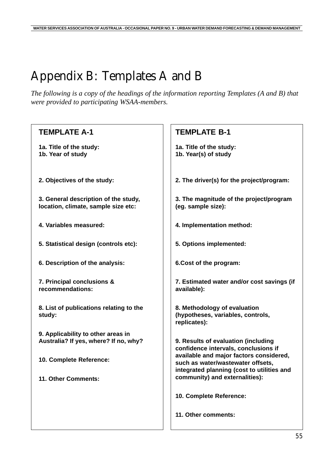# Appendix B: Templates A and B

*The following is a copy of the headings of the information reporting Templates (A and B) that were provided to participating WSAA-members.*

| <b>TEMPLATE A-1</b>                                                         | <b>TEMPLATE B-1</b>                                                                                                        |  |
|-----------------------------------------------------------------------------|----------------------------------------------------------------------------------------------------------------------------|--|
| 1a. Title of the study:<br>1b. Year of study                                | 1a. Title of the study:<br>1b. Year(s) of study                                                                            |  |
| 2. Objectives of the study:                                                 | 2. The driver(s) for the project/program:                                                                                  |  |
| 3. General description of the study,<br>location, climate, sample size etc: | 3. The magnitude of the project/program<br>(eg. sample size):                                                              |  |
| 4. Variables measured:                                                      | 4. Implementation method:                                                                                                  |  |
| 5. Statistical design (controls etc):                                       | 5. Options implemented:                                                                                                    |  |
| 6. Description of the analysis:                                             | 6.Cost of the program:                                                                                                     |  |
| 7. Principal conclusions &<br>recommendations:                              | 7. Estimated water and/or cost savings (if<br>available):                                                                  |  |
| 8. List of publications relating to the<br>study:                           | 8. Methodology of evaluation<br>(hypotheses, variables, controls,<br>replicates):                                          |  |
| 9. Applicability to other areas in<br>Australia? If yes, where? If no, why? | 9. Results of evaluation (including<br>confidence intervals, conclusions if                                                |  |
| 10. Complete Reference:                                                     | available and major factors considered,<br>such as water/wastewater offsets,<br>integrated planning (cost to utilities and |  |
| 11. Other Comments:                                                         | community) and externalities):                                                                                             |  |
|                                                                             | 10. Complete Reference:                                                                                                    |  |
|                                                                             | 11. Other comments:                                                                                                        |  |